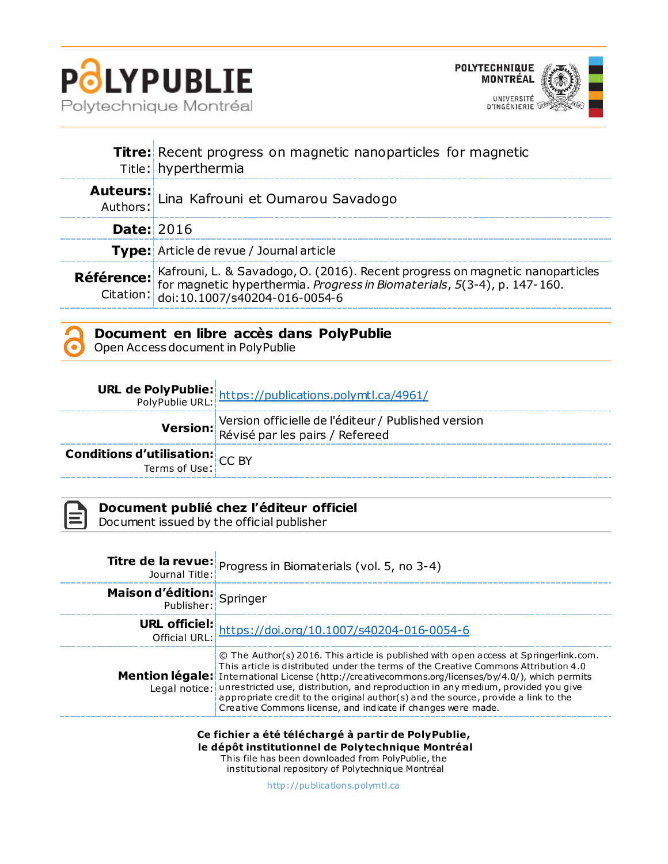



|                   | <b>Titre:</b> Recent progress on magnetic nanoparticles for magnetic<br>Title: hyperthermia                                                                                                                                    |  |  |  |  |
|-------------------|--------------------------------------------------------------------------------------------------------------------------------------------------------------------------------------------------------------------------------|--|--|--|--|
|                   | Auteurs: Lina Kafrouni et Oumarou Savadogo                                                                                                                                                                                     |  |  |  |  |
| <b>Date: 2016</b> |                                                                                                                                                                                                                                |  |  |  |  |
|                   | <b>Type:</b> Article de revue / Journal article                                                                                                                                                                                |  |  |  |  |
|                   | <b>Référence:</b> Kafrouni, L. & Savadogo, O. (2016). Recent progress on magnetic nanoparticles<br>for magnetic hyperthermia. <i>Progress in Biomaterials</i> , 5(3-4), p. 147-160.<br>Citation: doi:10.1007/s40204-016-0054-6 |  |  |  |  |



Open Access document in PolyPublie

|                                                           | <b>URL de PolyPublie:</b><br>PolyPublie URL: https://publications.polymtl.ca/4961/     |
|-----------------------------------------------------------|----------------------------------------------------------------------------------------|
|                                                           | Version officielle de l'éditeur / Published version<br>Révisé par les pairs / Refereed |
| <b>Conditions d'utilisation:</b> $CC$ BY<br>Terms of Use: |                                                                                        |

**Document publié chez l'éditeur officiel** Document issued by the official publisher

|                                                 | <b>Titre de la revue:</b> Progress in Biomaterials (vol. 5, no 3-4)<br>Journal Title:                                                                                                                                                                                                                                                                                                                                                                                                                                                              |  |  |
|-------------------------------------------------|----------------------------------------------------------------------------------------------------------------------------------------------------------------------------------------------------------------------------------------------------------------------------------------------------------------------------------------------------------------------------------------------------------------------------------------------------------------------------------------------------------------------------------------------------|--|--|
| <b>Maison d'édition:</b><br>Publisher: Springer |                                                                                                                                                                                                                                                                                                                                                                                                                                                                                                                                                    |  |  |
|                                                 | <b>URL officiel:</b><br>Official URL: https://doi.org/10.1007/s40204-016-0054-6                                                                                                                                                                                                                                                                                                                                                                                                                                                                    |  |  |
|                                                 | © The Author(s) 2016. This article is published with open access at Springerlink.com.<br>This article is distributed under the terms of the Creative Commons Attribution 4.0<br><b>Mention légale:</b> International License (http://creativecommons.org/licenses/by/4.0/), which permits<br>Legal notice: unrestricted use, distribution, and reproduction in any medium, provided you give<br>appropriate credit to the original author(s) and the source, provide a link to the<br>Creative Commons license, and indicate if changes were made. |  |  |

**Ce fichier a été téléchargé à partir de PolyPublie, le dépôt institutionnel de Polytechnique Montréal** This file has been downloaded from PolyPublie, the

institutional repository of Polytechnique Montréal

[http://publica tions.polymtl.ca](http://publications.polymtl.ca/)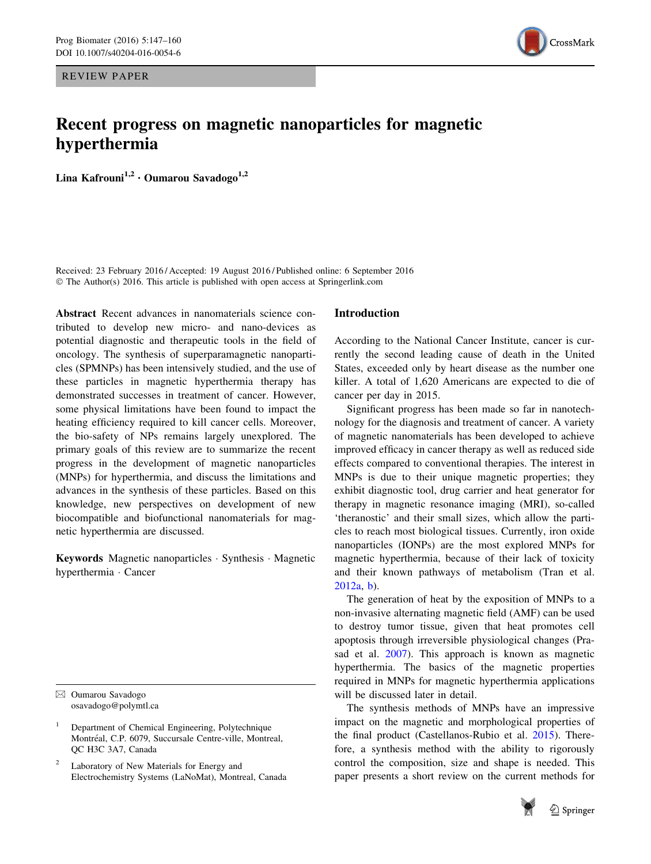REVIEW PAPER



# Recent progress on magnetic nanoparticles for magnetic hyperthermia

Lina Kafrouni<sup>1,2</sup> · Oumarou Savadogo<sup>1,2</sup>

Received: 23 February 2016 / Accepted: 19 August 2016 / Published online: 6 September 2016 © The Author(s) 2016. This article is published with open access at Springerlink.com

Abstract Recent advances in nanomaterials science contributed to develop new micro- and nano-devices as potential diagnostic and therapeutic tools in the field of oncology. The synthesis of superparamagnetic nanoparticles (SPMNPs) has been intensively studied, and the use of these particles in magnetic hyperthermia therapy has demonstrated successes in treatment of cancer. However, some physical limitations have been found to impact the heating efficiency required to kill cancer cells. Moreover, the bio-safety of NPs remains largely unexplored. The primary goals of this review are to summarize the recent progress in the development of magnetic nanoparticles (MNPs) for hyperthermia, and discuss the limitations and advances in the synthesis of these particles. Based on this knowledge, new perspectives on development of new biocompatible and biofunctional nanomaterials for magnetic hyperthermia are discussed.

Keywords Magnetic nanoparticles - Synthesis - Magnetic hyperthermia - Cancer

<sup>1</sup> Department of Chemical Engineering, Polytechnique Montréal, C.P. 6079, Succursale Centre-ville, Montreal, QC H3C 3A7, Canada

Laboratory of New Materials for Energy and Electrochemistry Systems (LaNoMat), Montreal, Canada

## Introduction

According to the National Cancer Institute, cancer is currently the second leading cause of death in the United States, exceeded only by heart disease as the number one killer. A total of 1,620 Americans are expected to die of cancer per day in 2015.

Significant progress has been made so far in nanotechnology for the diagnosis and treatment of cancer. A variety of magnetic nanomaterials has been developed to achieve improved efficacy in cancer therapy as well as reduced side effects compared to conventional therapies. The interest in MNPs is due to their unique magnetic properties; they exhibit diagnostic tool, drug carrier and heat generator for therapy in magnetic resonance imaging (MRI), so-called 'theranostic' and their small sizes, which allow the particles to reach most biological tissues. Currently, iron oxide nanoparticles (IONPs) are the most explored MNPs for magnetic hyperthermia, because of their lack of toxicity and their known pathways of metabolism (Tran et al. [2012a,](#page-13-0) [b](#page-13-0)).

The generation of heat by the exposition of MNPs to a non-invasive alternating magnetic field (AMF) can be used to destroy tumor tissue, given that heat promotes cell apoptosis through irreversible physiological changes (Prasad et al. [2007\)](#page-13-0). This approach is known as magnetic hyperthermia. The basics of the magnetic properties required in MNPs for magnetic hyperthermia applications will be discussed later in detail.

The synthesis methods of MNPs have an impressive impact on the magnetic and morphological properties of the final product (Castellanos-Rubio et al. [2015](#page-11-0)). Therefore, a synthesis method with the ability to rigorously control the composition, size and shape is needed. This paper presents a short review on the current methods for



 $\boxtimes$  Oumarou Savadogo osavadogo@polymtl.ca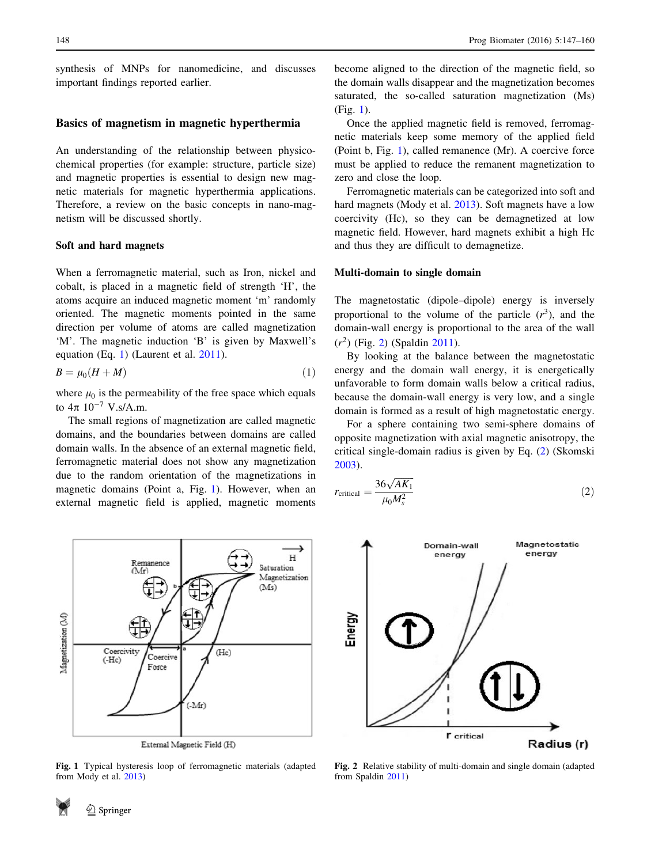<span id="page-2-0"></span>synthesis of MNPs for nanomedicine, and discusses important findings reported earlier.

## Basics of magnetism in magnetic hyperthermia

An understanding of the relationship between physicochemical properties (for example: structure, particle size) and magnetic properties is essential to design new magnetic materials for magnetic hyperthermia applications. Therefore, a review on the basic concepts in nano-magnetism will be discussed shortly.

## Soft and hard magnets

When a ferromagnetic material, such as Iron, nickel and cobalt, is placed in a magnetic field of strength 'H', the atoms acquire an induced magnetic moment 'm' randomly oriented. The magnetic moments pointed in the same direction per volume of atoms are called magnetization 'M'. The magnetic induction 'B' is given by Maxwell's equation (Eq. 1) (Laurent et al. [2011](#page-12-0)).

$$
B = \mu_0 (H + M) \tag{1}
$$

where  $\mu_0$  is the permeability of the free space which equals to  $4\pi$   $10^{-7}$  V.s/A.m.

The small regions of magnetization are called magnetic domains, and the boundaries between domains are called domain walls. In the absence of an external magnetic field, ferromagnetic material does not show any magnetization due to the random orientation of the magnetizations in magnetic domains (Point a, Fig. 1). However, when an external magnetic field is applied, magnetic moments



External Magnetic Field (H)

Fig. 1 Typical hysteresis loop of ferromagnetic materials (adapted from Mody et al. [2013](#page-12-0))

become aligned to the direction of the magnetic field, so the domain walls disappear and the magnetization becomes saturated, the so-called saturation magnetization (Ms) (Fig. 1).

Once the applied magnetic field is removed, ferromagnetic materials keep some memory of the applied field (Point b, Fig. 1), called remanence (Mr). A coercive force must be applied to reduce the remanent magnetization to zero and close the loop.

Ferromagnetic materials can be categorized into soft and hard magnets (Mody et al. [2013\)](#page-12-0). Soft magnets have a low coercivity (Hc), so they can be demagnetized at low magnetic field. However, hard magnets exhibit a high Hc and thus they are difficult to demagnetize.

## Multi-domain to single domain

The magnetostatic (dipole–dipole) energy is inversely proportional to the volume of the particle  $(r^3)$ , and the domain-wall energy is proportional to the area of the wall  $(r^2)$  (Fig. 2) (Spaldin [2011\)](#page-13-0).

By looking at the balance between the magnetostatic energy and the domain wall energy, it is energetically unfavorable to form domain walls below a critical radius, because the domain-wall energy is very low, and a single domain is formed as a result of high magnetostatic energy.

For a sphere containing two semi-sphere domains of opposite magnetization with axial magnetic anisotropy, the critical single-domain radius is given by Eq. (2) (Skomski [2003](#page-13-0)).

$$
r_{\text{critical}} = \frac{36\sqrt{AK_1}}{\mu_0 M_s^2} \tag{2}
$$



Fig. 2 Relative stability of multi-domain and single domain (adapted from Spaldin [2011](#page-13-0))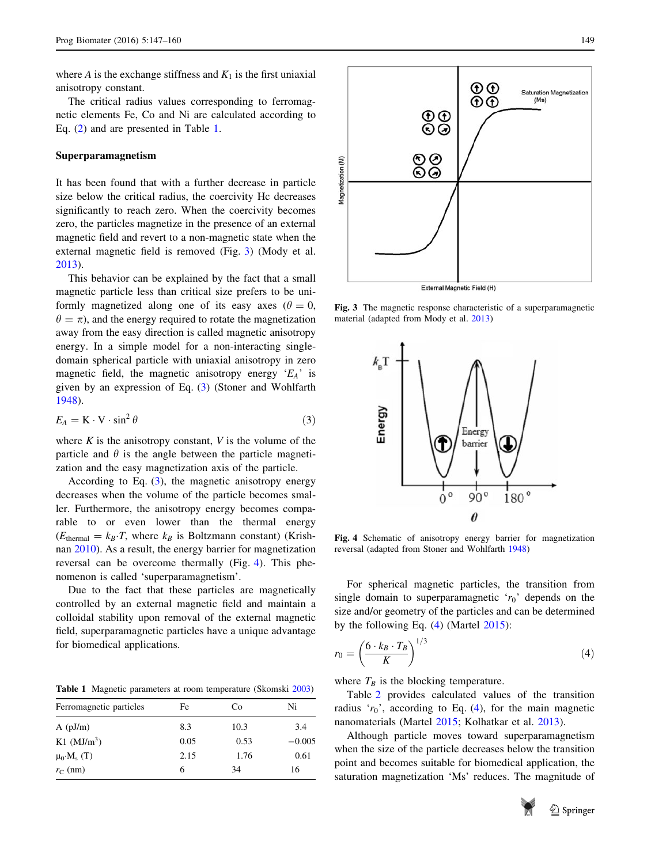where A is the exchange stiffness and  $K_1$  is the first uniaxial anisotropy constant.

The critical radius values corresponding to ferromagnetic elements Fe, Co and Ni are calculated according to Eq. [\(2](#page-2-0)) and are presented in Table 1.

## Superparamagnetism

It has been found that with a further decrease in particle size below the critical radius, the coercivity Hc decreases significantly to reach zero. When the coercivity becomes zero, the particles magnetize in the presence of an external magnetic field and revert to a non-magnetic state when the external magnetic field is removed (Fig. 3) (Mody et al. [2013](#page-12-0)).

This behavior can be explained by the fact that a small magnetic particle less than critical size prefers to be uniformly magnetized along one of its easy axes ( $\theta = 0$ ,  $\theta = \pi$ ), and the energy required to rotate the magnetization away from the easy direction is called magnetic anisotropy energy. In a simple model for a non-interacting singledomain spherical particle with uniaxial anisotropy in zero magnetic field, the magnetic anisotropy energy  $E_A$  is given by an expression of Eq. (3) (Stoner and Wohlfarth [1948\)](#page-13-0).

$$
E_A = \mathbf{K} \cdot \mathbf{V} \cdot \sin^2 \theta \tag{3}
$$

where  $K$  is the anisotropy constant,  $V$  is the volume of the particle and  $\theta$  is the angle between the particle magnetization and the easy magnetization axis of the particle.

According to Eq.  $(3)$ , the magnetic anisotropy energy decreases when the volume of the particle becomes smaller. Furthermore, the anisotropy energy becomes comparable to or even lower than the thermal energy  $(E_{\text{thermal}} = k_B \cdot T$ , where  $k_B$  is Boltzmann constant) (Krishnan [2010\)](#page-12-0). As a result, the energy barrier for magnetization reversal can be overcome thermally (Fig. 4). This phenomenon is called 'superparamagnetism'.

Due to the fact that these particles are magnetically controlled by an external magnetic field and maintain a colloidal stability upon removal of the external magnetic field, superparamagnetic particles have a unique advantage for biomedical applications.

Table 1 Magnetic parameters at room temperature (Skomski [2003](#page-13-0))

| Ferromagnetic particles   | Fe   | Co   | Ni       |
|---------------------------|------|------|----------|
| $A$ ( $pJ/m$ )            | 8.3  | 10.3 | 3.4      |
| $K1$ (MJ/m <sup>3</sup> ) | 0.05 | 0.53 | $-0.005$ |
| $\mu_0 \cdot M_s$ (T)     | 2.15 | 1.76 | 0.61     |
| $r_{\rm C}$ (nm)          | 6    | 34   | 16       |



External Magnetic Field (H)

Fig. 3 The magnetic response characteristic of a superparamagnetic material (adapted from Mody et al. [2013](#page-12-0))



Fig. 4 Schematic of anisotropy energy barrier for magnetization reversal (adapted from Stoner and Wohlfarth [1948](#page-13-0))

For spherical magnetic particles, the transition from single domain to superparamagnetic ' $r_0$ ' depends on the size and/or geometry of the particles and can be determined by the following Eq. (4) (Martel [2015](#page-12-0)):

$$
r_0 = \left(\frac{6 \cdot k_B \cdot T_B}{K}\right)^{1/3} \tag{4}
$$

where  $T_B$  is the blocking temperature.

Table [2](#page-4-0) provides calculated values of the transition radius ' $r_0$ ', according to Eq. (4), for the main magnetic nanomaterials (Martel [2015](#page-12-0); Kolhatkar et al. [2013](#page-12-0)).

Although particle moves toward superparamagnetism when the size of the particle decreases below the transition point and becomes suitable for biomedical application, the saturation magnetization 'Ms' reduces. The magnitude of

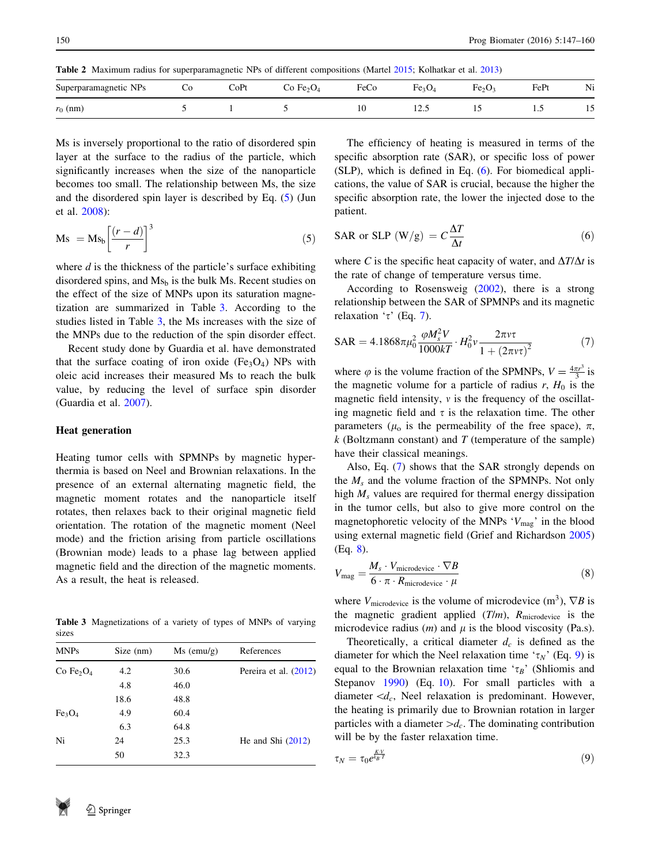<span id="page-4-0"></span>Table 2 Maximum radius for superparamagnetic NPs of different compositions (Martel [2015;](#page-12-0) Kolhatkar et al. [2013\)](#page-12-0)

| Superparamagnetic NPs<br>$\overline{\phantom{a}}$ | UC. | CoPt | Fe <sub>2</sub> O <sub>4</sub> | FeCo | $T$ C3 $U_4$ | Fe <sub>2</sub>          | $E$ e $Pt$ | Ni                |
|---------------------------------------------------|-----|------|--------------------------------|------|--------------|--------------------------|------------|-------------------|
| $r_0$ (nm)                                        |     |      |                                | 10   | ⊥∠.J         | $\overline{\phantom{a}}$ | $\cdot$    | . .<br><br>$\sim$ |

Ms is inversely proportional to the ratio of disordered spin layer at the surface to the radius of the particle, which significantly increases when the size of the nanoparticle becomes too small. The relationship between Ms, the size and the disordered spin layer is described by Eq. (5) (Jun et al. [2008\)](#page-12-0):

$$
Ms = Ms_b \left[ \frac{(r - d)}{r} \right]^3 \tag{5}
$$

where  $d$  is the thickness of the particle's surface exhibiting disordered spins, and  $Ms<sub>b</sub>$  is the bulk Ms. Recent studies on the effect of the size of MNPs upon its saturation magnetization are summarized in Table 3. According to the studies listed in Table 3, the Ms increases with the size of the MNPs due to the reduction of the spin disorder effect.

Recent study done by Guardia et al. have demonstrated that the surface coating of iron oxide  $(Fe<sub>3</sub>O<sub>4</sub>)$  NPs with oleic acid increases their measured Ms to reach the bulk value, by reducing the level of surface spin disorder (Guardia et al. [2007\)](#page-12-0).

#### Heat generation

Heating tumor cells with SPMNPs by magnetic hyperthermia is based on Neel and Brownian relaxations. In the presence of an external alternating magnetic field, the magnetic moment rotates and the nanoparticle itself rotates, then relaxes back to their original magnetic field orientation. The rotation of the magnetic moment (Neel mode) and the friction arising from particle oscillations (Brownian mode) leads to a phase lag between applied magnetic field and the direction of the magnetic moments. As a result, the heat is released.

Table 3 Magnetizations of a variety of types of MNPs of varying sizes

| <b>MNPs</b>                    | Size (nm) | $Ms$ (emu/g) | References            |
|--------------------------------|-----------|--------------|-----------------------|
| Co Fe <sub>2</sub> $O_4$       | 4.2       | 30.6         | Pereira et al. (2012) |
|                                | 4.8       | 46.0         |                       |
|                                | 18.6      | 48.8         |                       |
| Fe <sub>3</sub> O <sub>4</sub> | 4.9       | 60.4         |                       |
|                                | 6.3       | 64.8         |                       |
| Ni                             | 24        | 25.3         | He and Shi $(2012)$   |
|                                | 50        | 32.3         |                       |



$$
SAR \text{ or } SLP \ (W/g) = C \frac{\Delta T}{\Delta t}
$$
 (6)

where C is the specific heat capacity of water, and  $\Delta T/\Delta t$  is the rate of change of temperature versus time.

According to Rosensweig ([2002\)](#page-13-0), there is a strong relationship between the SAR of SPMNPs and its magnetic relaxation ' $\tau$ ' (Eq. 7).

$$
SAR = 4.1868\pi\mu_0^2 \frac{\varphi M_s^2 V}{1000kT} \cdot H_0^2 v \frac{2\pi v \tau}{1 + (2\pi v \tau)^2}
$$
(7)

where  $\varphi$  is the volume fraction of the SPMNPs,  $V = \frac{4\pi r^3}{3}$  is the magnetic volume for a particle of radius r,  $H_0$  is the magnetic field intensity,  $v$  is the frequency of the oscillating magnetic field and  $\tau$  is the relaxation time. The other parameters ( $\mu_0$  is the permeability of the free space),  $\pi$ ,  $k$  (Boltzmann constant) and  $T$  (temperature of the sample) have their classical meanings.

Also, Eq. (7) shows that the SAR strongly depends on the  $M_s$  and the volume fraction of the SPMNPs. Not only high  $M_s$  values are required for thermal energy dissipation in the tumor cells, but also to give more control on the magnetophoretic velocity of the MNPs  $V_{\text{mag}}$ ' in the blood using external magnetic field (Grief and Richardson [2005\)](#page-12-0) (Eq. 8).

$$
V_{\text{mag}} = \frac{M_s \cdot V_{\text{microdevice}} \cdot \nabla B}{6 \cdot \pi \cdot R_{\text{microdevice}} \cdot \mu}
$$
 (8)

where  $V_{\text{microdevice}}$  is the volume of microdevice  $(m^3)$ ,  $\nabla B$  is the magnetic gradient applied  $(T/m)$ ,  $R$ <sub>microdevice</sub> is the microdevice radius  $(m)$  and  $\mu$  is the blood viscosity (Pa.s).

Theoretically, a critical diameter  $d_c$  is defined as the diameter for which the Neel relaxation time ' $\tau_N$ ' (Eq. 9) is equal to the Brownian relaxation time ' $\tau_B$ ' (Shliomis and Stepanov [1990](#page-13-0)) (Eq. [10](#page-5-0)). For small particles with a diameter  $\langle d_c, \text{N} \rangle$  relaxation is predominant. However, the heating is primarily due to Brownian rotation in larger particles with a diameter  $>d_c$ . The dominating contribution will be by the faster relaxation time.

$$
\tau_N = \tau_0 e^{\frac{KV}{k_B T}} \tag{9}
$$

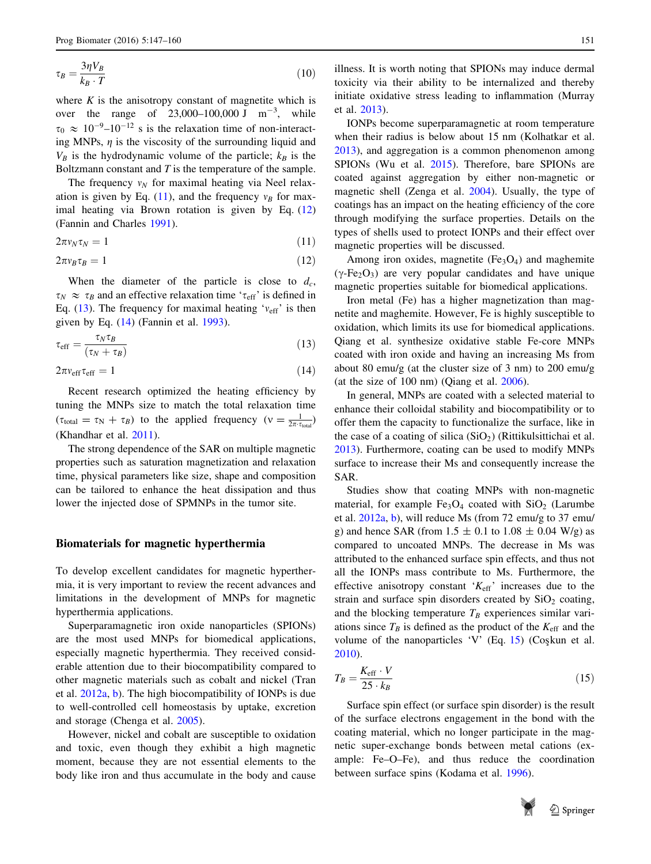<span id="page-5-0"></span>
$$
\tau_B = \frac{3\eta V_B}{k_B \cdot T} \tag{10}
$$

where  $K$  is the anisotropy constant of magnetite which is over the range of 23,000–100,000 J  $m^{-3}$ , while  $\tau_0 \approx 10^{-9} - 10^{-12}$  s is the relaxation time of non-interacting MNPs,  $\eta$  is the viscosity of the surrounding liquid and  $V_B$  is the hydrodynamic volume of the particle;  $k_B$  is the Boltzmann constant and  $T$  is the temperature of the sample.

The frequency  $v_N$  for maximal heating via Neel relaxation is given by Eq. (11), and the frequency  $v_B$  for maximal heating via Brown rotation is given by Eq. (12) (Fannin and Charles [1991](#page-11-0)).

$$
2\pi v_N \tau_N = 1 \tag{11}
$$

$$
2\pi v_B \tau_B = 1 \tag{12}
$$

When the diameter of the particle is close to  $d_c$ ,  $\tau_N \approx \tau_B$  and an effective relaxation time ' $\tau_{\text{eff}}$ ' is defined in Eq. (13). The frequency for maximal heating ' $v_{\text{eff}}$ ' is then given by Eq. (14) (Fannin et al. [1993\)](#page-12-0).

$$
\tau_{\rm eff} = \frac{\tau_N \tau_B}{(\tau_N + \tau_B)}\tag{13}
$$

 $2\pi v_{\rm eff} \tau_{\rm eff} = 1$  (14)

Recent research optimized the heating efficiency by tuning the MNPs size to match the total relaxation time  $(\tau_{\text{total}} = \tau_{\text{N}} + \tau_{B})$  to the applied frequency  $(v = \frac{1}{2\pi \tau_{\text{total}}})$ (Khandhar et al. [2011\)](#page-12-0).

The strong dependence of the SAR on multiple magnetic properties such as saturation magnetization and relaxation time, physical parameters like size, shape and composition can be tailored to enhance the heat dissipation and thus lower the injected dose of SPMNPs in the tumor site.

#### Biomaterials for magnetic hyperthermia

To develop excellent candidates for magnetic hyperthermia, it is very important to review the recent advances and limitations in the development of MNPs for magnetic hyperthermia applications.

Superparamagnetic iron oxide nanoparticles (SPIONs) are the most used MNPs for biomedical applications, especially magnetic hyperthermia. They received considerable attention due to their biocompatibility compared to other magnetic materials such as cobalt and nickel (Tran et al. [2012a,](#page-13-0) [b](#page-13-0)). The high biocompatibility of IONPs is due to well-controlled cell homeostasis by uptake, excretion and storage (Chenga et al. [2005\)](#page-11-0).

However, nickel and cobalt are susceptible to oxidation and toxic, even though they exhibit a high magnetic moment, because they are not essential elements to the body like iron and thus accumulate in the body and cause

illness. It is worth noting that SPIONs may induce dermal toxicity via their ability to be internalized and thereby initiate oxidative stress leading to inflammation (Murray et al. [2013\)](#page-13-0).

IONPs become superparamagnetic at room temperature when their radius is below about 15 nm (Kolhatkar et al. [2013](#page-12-0)), and aggregation is a common phenomenon among SPIONs (Wu et al. [2015\)](#page-13-0). Therefore, bare SPIONs are coated against aggregation by either non-magnetic or magnetic shell (Zenga et al. [2004](#page-14-0)). Usually, the type of coatings has an impact on the heating efficiency of the core through modifying the surface properties. Details on the types of shells used to protect IONPs and their effect over magnetic properties will be discussed.

Among iron oxides, magnetite  $(F_{e3}O_4)$  and maghemite  $(\gamma$ -Fe<sub>2</sub>O<sub>3</sub>) are very popular candidates and have unique magnetic properties suitable for biomedical applications.

Iron metal (Fe) has a higher magnetization than magnetite and maghemite. However, Fe is highly susceptible to oxidation, which limits its use for biomedical applications. Qiang et al. synthesize oxidative stable Fe-core MNPs coated with iron oxide and having an increasing Ms from about 80 emu/g (at the cluster size of 3 nm) to 200 emu/g (at the size of 100 nm) (Qiang et al. [2006\)](#page-13-0).

In general, MNPs are coated with a selected material to enhance their colloidal stability and biocompatibility or to offer them the capacity to functionalize the surface, like in the case of a coating of silica  $(SiO<sub>2</sub>)$  (Rittikulsittichai et al. [2013](#page-13-0)). Furthermore, coating can be used to modify MNPs surface to increase their Ms and consequently increase the SAR.

Studies show that coating MNPs with non-magnetic material, for example  $Fe<sub>3</sub>O<sub>4</sub>$  coated with  $SiO<sub>2</sub>$  (Larumbe et al. [2012a,](#page-12-0) [b\)](#page-12-0), will reduce Ms (from 72 emu/g to 37 emu/ g) and hence SAR (from  $1.5 \pm 0.1$  to  $1.08 \pm 0.04$  W/g) as compared to uncoated MNPs. The decrease in Ms was attributed to the enhanced surface spin effects, and thus not all the IONPs mass contribute to Ms. Furthermore, the effective anisotropy constant ' $K_{\text{eff}}$ ' increases due to the strain and surface spin disorders created by  $SiO<sub>2</sub>$  coating, and the blocking temperature  $T_B$  experiences similar variations since  $T_B$  is defined as the product of the  $K_{\text{eff}}$  and the volume of the nanoparticles 'V' (Eq. 15) (Coskun et al. [2010](#page-11-0)).

$$
T_B = \frac{K_{\text{eff}} \cdot V}{25 \cdot k_B} \tag{15}
$$

Surface spin effect (or surface spin disorder) is the result of the surface electrons engagement in the bond with the coating material, which no longer participate in the magnetic super-exchange bonds between metal cations (example: Fe–O–Fe), and thus reduce the coordination between surface spins (Kodama et al. [1996](#page-12-0)).

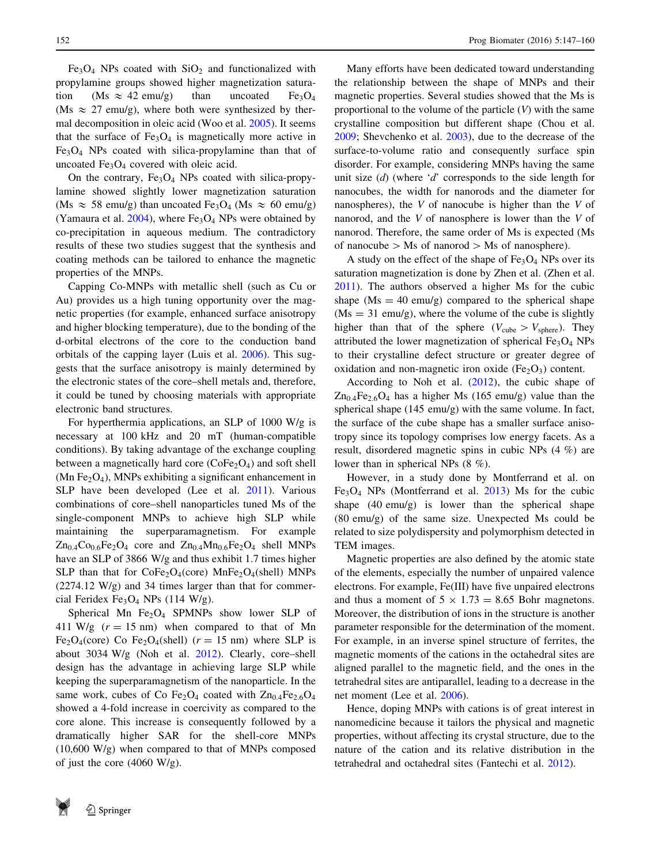$Fe<sub>3</sub>O<sub>4</sub>$  NPs coated with  $SiO<sub>2</sub>$  and functionalized with propylamine groups showed higher magnetization saturation (Ms  $\approx$  42 emu/g) than uncoated Fe<sub>3</sub>O<sub>4</sub> (Ms  $\approx$  27 emu/g), where both were synthesized by thermal decomposition in oleic acid (Woo et al. [2005\)](#page-13-0). It seems that the surface of  $Fe<sub>3</sub>O<sub>4</sub>$  is magnetically more active in Fe3O4 NPs coated with silica-propylamine than that of uncoated  $Fe<sub>3</sub>O<sub>4</sub>$  covered with oleic acid.

On the contrary,  $Fe<sub>3</sub>O<sub>4</sub>$  NPs coated with silica-propylamine showed slightly lower magnetization saturation (Ms  $\approx$  58 emu/g) than uncoated Fe<sub>3</sub>O<sub>4</sub> (Ms  $\approx$  60 emu/g) (Yamaura et al.  $2004$ ), where  $Fe<sub>3</sub>O<sub>4</sub>$  NPs were obtained by co-precipitation in aqueous medium. The contradictory results of these two studies suggest that the synthesis and coating methods can be tailored to enhance the magnetic properties of the MNPs.

Capping Co-MNPs with metallic shell (such as Cu or Au) provides us a high tuning opportunity over the magnetic properties (for example, enhanced surface anisotropy and higher blocking temperature), due to the bonding of the d-orbital electrons of the core to the conduction band orbitals of the capping layer (Luis et al. [2006](#page-12-0)). This suggests that the surface anisotropy is mainly determined by the electronic states of the core–shell metals and, therefore, it could be tuned by choosing materials with appropriate electronic band structures.

For hyperthermia applications, an SLP of 1000 W/g is necessary at 100 kHz and 20 mT (human-compatible conditions). By taking advantage of the exchange coupling between a magnetically hard core  $(CoFe<sub>2</sub>O<sub>4</sub>)$  and soft shell (Mn Fe<sub>2</sub>O<sub>4</sub>), MNPs exhibiting a significant enhancement in SLP have been developed (Lee et al. [2011\)](#page-12-0). Various combinations of core–shell nanoparticles tuned Ms of the single-component MNPs to achieve high SLP while maintaining the superparamagnetism. For example  $Zn_{0.4}Co_{0.6}Fe_2O_4$  core and  $Zn_{0.4}Mn_{0.6}Fe_2O_4$  shell MNPs have an SLP of 3866 W/g and thus exhibit 1.7 times higher SLP than that for  $CoFe<sub>2</sub>O<sub>4</sub>(core) MnFe<sub>2</sub>O<sub>4</sub>(shell) MNPs$ (2274.12 W/g) and 34 times larger than that for commercial Feridex Fe<sub>3</sub>O<sub>4</sub> NPs (114 W/g).

Spherical Mn  $Fe<sub>2</sub>O<sub>4</sub>$  SPMNPs show lower SLP of 411 W/g  $(r = 15 \text{ nm})$  when compared to that of Mn Fe<sub>2</sub>O<sub>4</sub>(core) Co Fe<sub>2</sub>O<sub>4</sub>(shell) ( $r = 15$  nm) where SLP is about 3034 W/g (Noh et al. [2012\)](#page-13-0). Clearly, core–shell design has the advantage in achieving large SLP while keeping the superparamagnetism of the nanoparticle. In the same work, cubes of Co Fe<sub>2</sub>O<sub>4</sub> coated with  $Zn_{0.4}Fe_{2.6}O_4$ showed a 4-fold increase in coercivity as compared to the core alone. This increase is consequently followed by a dramatically higher SAR for the shell-core MNPs (10,600 W/g) when compared to that of MNPs composed of just the core (4060 W/g).

Many efforts have been dedicated toward understanding the relationship between the shape of MNPs and their magnetic properties. Several studies showed that the Ms is proportional to the volume of the particle  $(V)$  with the same crystalline composition but different shape (Chou et al. [2009](#page-11-0); Shevchenko et al. [2003](#page-13-0)), due to the decrease of the surface-to-volume ratio and consequently surface spin disorder. For example, considering MNPs having the same unit size  $(d)$  (where 'd' corresponds to the side length for nanocubes, the width for nanorods and the diameter for nanospheres), the V of nanocube is higher than the V of nanorod, and the V of nanosphere is lower than the V of nanorod. Therefore, the same order of Ms is expected (Ms of nanocube  $>$  Ms of nanorod  $>$  Ms of nanosphere).

A study on the effect of the shape of  $Fe<sub>3</sub>O<sub>4</sub>$  NPs over its saturation magnetization is done by Zhen et al. (Zhen et al. [2011](#page-14-0)). The authors observed a higher Ms for the cubic shape ( $Ms = 40$  emu/g) compared to the spherical shape  $(Ms = 31$  emu/g), where the volume of the cube is slightly higher than that of the sphere ( $V_{\text{cube}} > V_{\text{sphere}}$ ). They attributed the lower magnetization of spherical  $Fe<sub>3</sub>O<sub>4</sub>$  NPs to their crystalline defect structure or greater degree of oxidation and non-magnetic iron oxide  $(Fe<sub>2</sub>O<sub>3</sub>)$  content.

According to Noh et al. ([2012\)](#page-13-0), the cubic shape of  $Zn<sub>0.4</sub>Fe<sub>2.6</sub>O<sub>4</sub>$  has a higher Ms (165 emu/g) value than the spherical shape (145 emu/g) with the same volume. In fact, the surface of the cube shape has a smaller surface anisotropy since its topology comprises low energy facets. As a result, disordered magnetic spins in cubic NPs (4 %) are lower than in spherical NPs (8 %).

However, in a study done by Montferrand et al. on  $Fe<sub>3</sub>O<sub>4</sub>$  NPs (Montferrand et al. [2013](#page-12-0)) Ms for the cubic shape (40 emu/g) is lower than the spherical shape (80 emu/g) of the same size. Unexpected Ms could be related to size polydispersity and polymorphism detected in TEM images.

Magnetic properties are also defined by the atomic state of the elements, especially the number of unpaired valence electrons. For example, Fe(III) have five unpaired electrons and thus a moment of  $5 \times 1.73 = 8.65$  Bohr magnetons. Moreover, the distribution of ions in the structure is another parameter responsible for the determination of the moment. For example, in an inverse spinel structure of ferrites, the magnetic moments of the cations in the octahedral sites are aligned parallel to the magnetic field, and the ones in the tetrahedral sites are antiparallel, leading to a decrease in the net moment (Lee et al. [2006](#page-12-0)).

Hence, doping MNPs with cations is of great interest in nanomedicine because it tailors the physical and magnetic properties, without affecting its crystal structure, due to the nature of the cation and its relative distribution in the tetrahedral and octahedral sites (Fantechi et al. [2012](#page-12-0)).

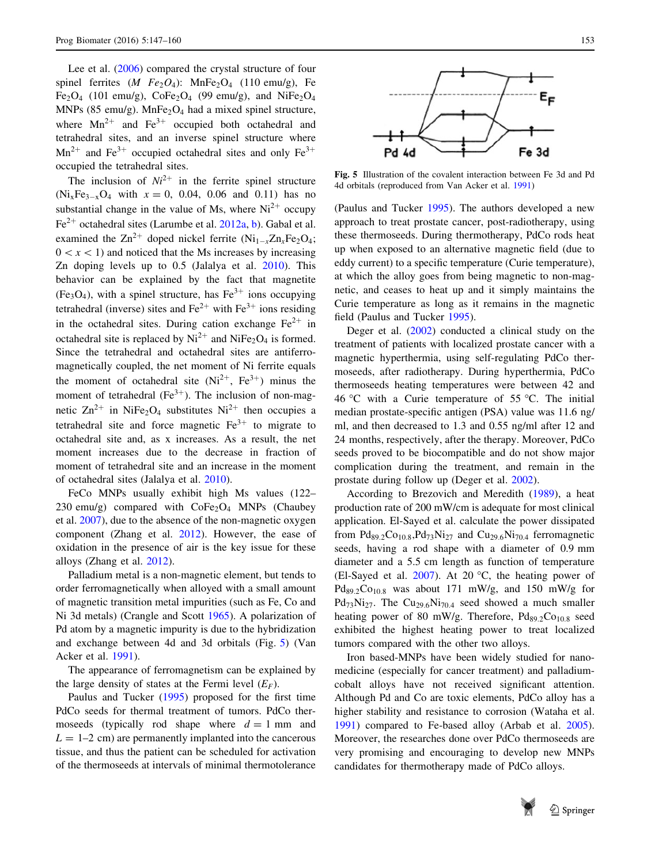Lee et al. ([2006\)](#page-12-0) compared the crystal structure of four spinel ferrites  $(M \ Fe_2O_4)$ : MnFe<sub>2</sub>O<sub>4</sub> (110 emu/g), Fe Fe<sub>2</sub>O<sub>4</sub> (101 emu/g), CoFe<sub>2</sub>O<sub>4</sub> (99 emu/g), and NiFe<sub>2</sub>O<sub>4</sub> MNPs (85 emu/g). MnFe<sub>2</sub>O<sub>4</sub> had a mixed spinel structure, where  $Mn^{2+}$  and  $Fe^{3+}$  occupied both octahedral and tetrahedral sites, and an inverse spinel structure where  $Mn^{2+}$  and Fe<sup>3+</sup> occupied octahedral sites and only Fe<sup>3+</sup> occupied the tetrahedral sites.

The inclusion of  $Ni^{2+}$  in the ferrite spinel structure  $(Ni_xFe_{3-x}O_4$  with  $x = 0$ , 0.04, 0.06 and 0.11) has no substantial change in the value of Ms, where  $Ni^{2+}$  occupy  $Fe<sup>2+</sup> octahedral sites (Larumbe et al. 2012a, b)$  $Fe<sup>2+</sup> octahedral sites (Larumbe et al. 2012a, b)$  $Fe<sup>2+</sup> octahedral sites (Larumbe et al. 2012a, b)$  $Fe<sup>2+</sup> octahedral sites (Larumbe et al. 2012a, b)$  $Fe<sup>2+</sup> octahedral sites (Larumbe et al. 2012a, b)$ . Gabal et al. examined the  $\text{Zn}^{2+}$  doped nickel ferrite (Ni<sub>1-x</sub>Zn<sub>x</sub>Fe<sub>2</sub>O<sub>4</sub>;  $0 \lt x \lt 1$  and noticed that the Ms increases by increasing Zn doping levels up to 0.5 (Jalalya et al. [2010](#page-12-0)). This behavior can be explained by the fact that magnetite (Fe<sub>3</sub>O<sub>4</sub>), with a spinel structure, has Fe<sup>3+</sup> ions occupying tetrahedral (inverse) sites and  $Fe^{2+}$  with  $Fe^{3+}$  ions residing in the octahedral sites. During cation exchange  $Fe^{2+}$  in octahedral site is replaced by  $Ni^{2+}$  and NiFe<sub>2</sub>O<sub>4</sub> is formed. Since the tetrahedral and octahedral sites are antiferromagnetically coupled, the net moment of Ni ferrite equals the moment of octahedral site  $(Ni^{2+}, Fe^{3+})$  minus the moment of tetrahedral  $(Fe^{3+})$ . The inclusion of non-magnetic  $\text{Zn}^{2+}$  in NiFe<sub>2</sub>O<sub>4</sub> substitutes Ni<sup>2+</sup> then occupies a tetrahedral site and force magnetic  $Fe^{3+}$  to migrate to octahedral site and, as x increases. As a result, the net moment increases due to the decrease in fraction of moment of tetrahedral site and an increase in the moment of octahedral sites (Jalalya et al. [2010](#page-12-0)).

FeCo MNPs usually exhibit high Ms values (122– 230 emu/g) compared with  $\text{CoFe}_2\text{O}_4$  MNPs (Chaubey et al. [2007\)](#page-11-0), due to the absence of the non-magnetic oxygen component (Zhang et al. [2012\)](#page-14-0). However, the ease of oxidation in the presence of air is the key issue for these alloys (Zhang et al. [2012](#page-14-0)).

Palladium metal is a non-magnetic element, but tends to order ferromagnetically when alloyed with a small amount of magnetic transition metal impurities (such as Fe, Co and Ni 3d metals) (Crangle and Scott [1965](#page-11-0)). A polarization of Pd atom by a magnetic impurity is due to the hybridization and exchange between 4d and 3d orbitals (Fig. 5) (Van Acker et al. [1991](#page-13-0)).

The appearance of ferromagnetism can be explained by the large density of states at the Fermi level  $(E_F)$ .

Paulus and Tucker ([1995\)](#page-13-0) proposed for the first time PdCo seeds for thermal treatment of tumors. PdCo thermoseeds (typically rod shape where  $d = 1$  mm and  $L = 1-2$  cm) are permanently implanted into the cancerous tissue, and thus the patient can be scheduled for activation of the thermoseeds at intervals of minimal thermotolerance



Fig. 5 Illustration of the covalent interaction between Fe 3d and Pd 4d orbitals (reproduced from Van Acker et al. [1991](#page-13-0))

(Paulus and Tucker [1995\)](#page-13-0). The authors developed a new approach to treat prostate cancer, post-radiotherapy, using these thermoseeds. During thermotherapy, PdCo rods heat up when exposed to an alternative magnetic field (due to eddy current) to a specific temperature (Curie temperature), at which the alloy goes from being magnetic to non-magnetic, and ceases to heat up and it simply maintains the Curie temperature as long as it remains in the magnetic field (Paulus and Tucker [1995\)](#page-13-0).

Deger et al. [\(2002](#page-11-0)) conducted a clinical study on the treatment of patients with localized prostate cancer with a magnetic hyperthermia, using self-regulating PdCo thermoseeds, after radiotherapy. During hyperthermia, PdCo thermoseeds heating temperatures were between 42 and 46 °C with a Curie temperature of 55 °C. The initial median prostate-specific antigen (PSA) value was 11.6 ng/ ml, and then decreased to 1.3 and 0.55 ng/ml after 12 and 24 months, respectively, after the therapy. Moreover, PdCo seeds proved to be biocompatible and do not show major complication during the treatment, and remain in the prostate during follow up (Deger et al. [2002](#page-11-0)).

According to Brezovich and Meredith ([1989](#page-11-0)), a heat production rate of 200 mW/cm is adequate for most clinical application. El-Sayed et al. calculate the power dissipated from  $Pd_{89.2}Co_{10.8}Pd_{73}Ni_{27}$  and  $Cu_{29.6}Ni_{70.4}$  ferromagnetic seeds, having a rod shape with a diameter of 0.9 mm diameter and a 5.5 cm length as function of temperature (El-Sayed et al.  $2007$ ). At 20 °C, the heating power of  $Pd_{89.2}Co_{10.8}$  was about 171 mW/g, and 150 mW/g for  $Pd_{73}Ni_{27}$ . The  $Cu_{29.6}Ni_{70.4}$  seed showed a much smaller heating power of 80 mW/g. Therefore,  $Pd_{89.2}Co_{10.8}$  seed exhibited the highest heating power to treat localized tumors compared with the other two alloys.

Iron based-MNPs have been widely studied for nanomedicine (especially for cancer treatment) and palladiumcobalt alloys have not received significant attention. Although Pd and Co are toxic elements, PdCo alloy has a higher stability and resistance to corrosion (Wataha et al. [1991](#page-13-0)) compared to Fe-based alloy (Arbab et al. [2005](#page-11-0)). Moreover, the researches done over PdCo thermoseeds are very promising and encouraging to develop new MNPs candidates for thermotherapy made of PdCo alloys.

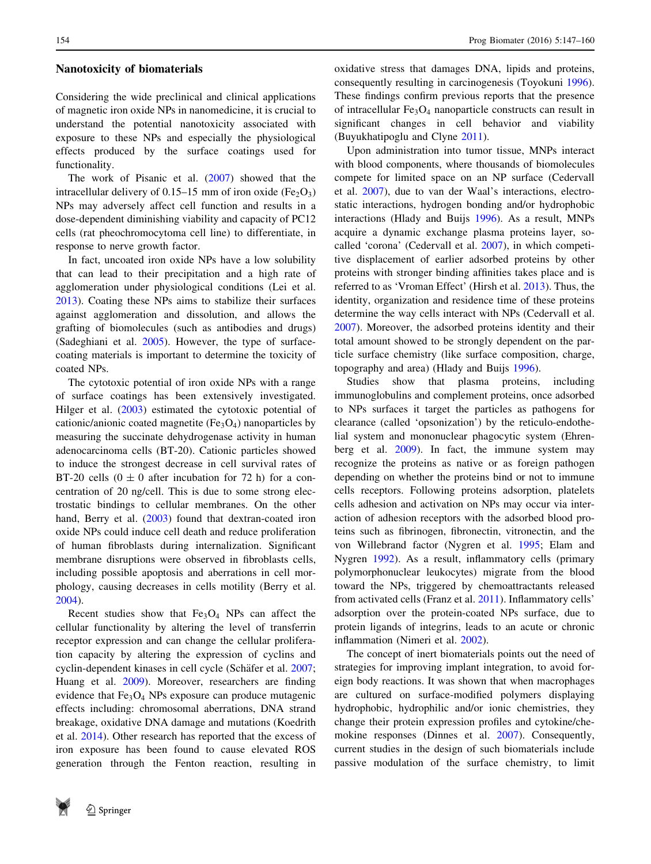#### Nanotoxicity of biomaterials

Considering the wide preclinical and clinical applications of magnetic iron oxide NPs in nanomedicine, it is crucial to understand the potential nanotoxicity associated with exposure to these NPs and especially the physiological effects produced by the surface coatings used for functionality.

The work of Pisanic et al. ([2007\)](#page-13-0) showed that the intracellular delivery of 0.15–15 mm of iron oxide (Fe<sub>2</sub>O<sub>3</sub>) NPs may adversely affect cell function and results in a dose-dependent diminishing viability and capacity of PC12 cells (rat pheochromocytoma cell line) to differentiate, in response to nerve growth factor.

In fact, uncoated iron oxide NPs have a low solubility that can lead to their precipitation and a high rate of agglomeration under physiological conditions (Lei et al. [2013\)](#page-12-0). Coating these NPs aims to stabilize their surfaces against agglomeration and dissolution, and allows the grafting of biomolecules (such as antibodies and drugs) (Sadeghiani et al. [2005](#page-13-0)). However, the type of surfacecoating materials is important to determine the toxicity of coated NPs.

The cytotoxic potential of iron oxide NPs with a range of surface coatings has been extensively investigated. Hilger et al. ([2003\)](#page-12-0) estimated the cytotoxic potential of cationic/anionic coated magnetite  $(F_{e3}O_4)$  nanoparticles by measuring the succinate dehydrogenase activity in human adenocarcinoma cells (BT-20). Cationic particles showed to induce the strongest decrease in cell survival rates of BT-20 cells  $(0 \pm 0)$  after incubation for 72 h) for a concentration of 20 ng/cell. This is due to some strong electrostatic bindings to cellular membranes. On the other hand, Berry et al. ([2003\)](#page-11-0) found that dextran-coated iron oxide NPs could induce cell death and reduce proliferation of human fibroblasts during internalization. Significant membrane disruptions were observed in fibroblasts cells, including possible apoptosis and aberrations in cell morphology, causing decreases in cells motility (Berry et al. [2004\)](#page-11-0).

Recent studies show that  $Fe<sub>3</sub>O<sub>4</sub>$  NPs can affect the cellular functionality by altering the level of transferrin receptor expression and can change the cellular proliferation capacity by altering the expression of cyclins and cyclin-dependent kinases in cell cycle (Schäfer et al. [2007](#page-13-0); Huang et al. [2009](#page-12-0)). Moreover, researchers are finding evidence that  $Fe<sub>3</sub>O<sub>4</sub>$  NPs exposure can produce mutagenic effects including: chromosomal aberrations, DNA strand breakage, oxidative DNA damage and mutations (Koedrith et al. [2014](#page-12-0)). Other research has reported that the excess of iron exposure has been found to cause elevated ROS generation through the Fenton reaction, resulting in



oxidative stress that damages DNA, lipids and proteins, consequently resulting in carcinogenesis (Toyokuni [1996](#page-13-0)). These findings confirm previous reports that the presence of intracellular Fe3O4 nanoparticle constructs can result in significant changes in cell behavior and viability (Buyukhatipoglu and Clyne [2011](#page-11-0)).

Upon administration into tumor tissue, MNPs interact with blood components, where thousands of biomolecules compete for limited space on an NP surface (Cedervall et al. [2007](#page-11-0)), due to van der Waal's interactions, electrostatic interactions, hydrogen bonding and/or hydrophobic interactions (Hlady and Buijs [1996\)](#page-12-0). As a result, MNPs acquire a dynamic exchange plasma proteins layer, socalled 'corona' (Cedervall et al. [2007](#page-11-0)), in which competitive displacement of earlier adsorbed proteins by other proteins with stronger binding affinities takes place and is referred to as 'Vroman Effect' (Hirsh et al. [2013](#page-12-0)). Thus, the identity, organization and residence time of these proteins determine the way cells interact with NPs (Cedervall et al. [2007](#page-11-0)). Moreover, the adsorbed proteins identity and their total amount showed to be strongly dependent on the particle surface chemistry (like surface composition, charge, topography and area) (Hlady and Buijs [1996](#page-12-0)).

Studies show that plasma proteins, including immunoglobulins and complement proteins, once adsorbed to NPs surfaces it target the particles as pathogens for clearance (called 'opsonization') by the reticulo-endothelial system and mononuclear phagocytic system (Ehrenberg et al. [2009](#page-11-0)). In fact, the immune system may recognize the proteins as native or as foreign pathogen depending on whether the proteins bind or not to immune cells receptors. Following proteins adsorption, platelets cells adhesion and activation on NPs may occur via interaction of adhesion receptors with the adsorbed blood proteins such as fibrinogen, fibronectin, vitronectin, and the von Willebrand factor (Nygren et al. [1995](#page-13-0); Elam and Nygren [1992](#page-11-0)). As a result, inflammatory cells (primary polymorphonuclear leukocytes) migrate from the blood toward the NPs, triggered by chemoattractants released from activated cells (Franz et al. [2011\)](#page-12-0). Inflammatory cells' adsorption over the protein-coated NPs surface, due to protein ligands of integrins, leads to an acute or chronic inflammation (Nimeri et al. [2002\)](#page-13-0).

The concept of inert biomaterials points out the need of strategies for improving implant integration, to avoid foreign body reactions. It was shown that when macrophages are cultured on surface-modified polymers displaying hydrophobic, hydrophilic and/or ionic chemistries, they change their protein expression profiles and cytokine/chemokine responses (Dinnes et al. [2007\)](#page-11-0). Consequently, current studies in the design of such biomaterials include passive modulation of the surface chemistry, to limit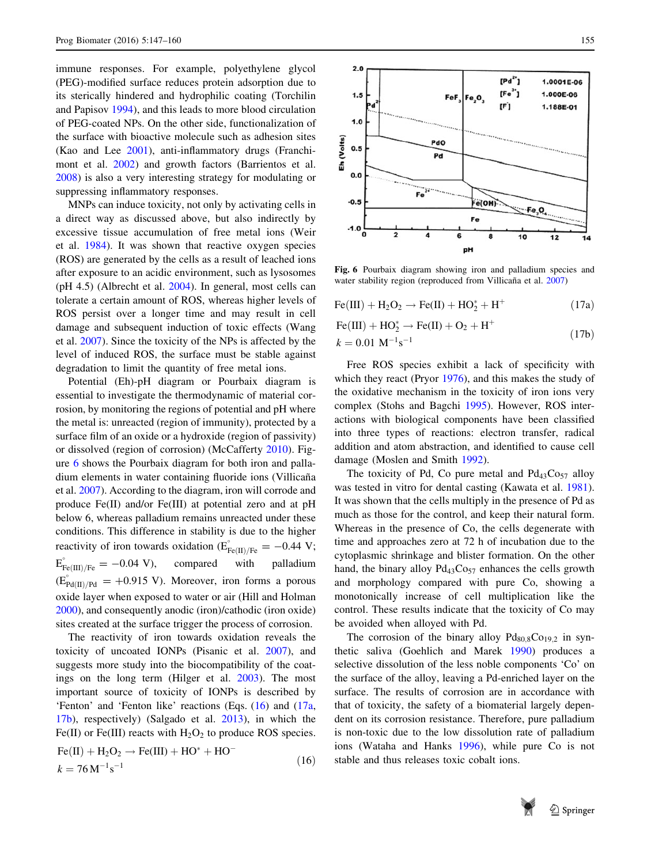<span id="page-9-0"></span>immune responses. For example, polyethylene glycol (PEG)-modified surface reduces protein adsorption due to its sterically hindered and hydrophilic coating (Torchilin and Papisov [1994](#page-13-0)), and this leads to more blood circulation of PEG-coated NPs. On the other side, functionalization of the surface with bioactive molecule such as adhesion sites (Kao and Lee [2001](#page-12-0)), anti-inflammatory drugs (Franchimont et al. [2002\)](#page-12-0) and growth factors (Barrientos et al. [2008\)](#page-11-0) is also a very interesting strategy for modulating or suppressing inflammatory responses.

MNPs can induce toxicity, not only by activating cells in a direct way as discussed above, but also indirectly by excessive tissue accumulation of free metal ions (Weir et al. [1984](#page-13-0)). It was shown that reactive oxygen species (ROS) are generated by the cells as a result of leached ions after exposure to an acidic environment, such as lysosomes (pH 4.5) (Albrecht et al. [2004](#page-11-0)). In general, most cells can tolerate a certain amount of ROS, whereas higher levels of ROS persist over a longer time and may result in cell damage and subsequent induction of toxic effects (Wang et al. [2007](#page-13-0)). Since the toxicity of the NPs is affected by the level of induced ROS, the surface must be stable against degradation to limit the quantity of free metal ions.

Potential (Eh)-pH diagram or Pourbaix diagram is essential to investigate the thermodynamic of material corrosion, by monitoring the regions of potential and pH where the metal is: unreacted (region of immunity), protected by a surface film of an oxide or a hydroxide (region of passivity) or dissolved (region of corrosion) (McCafferty [2010\)](#page-12-0). Figure 6 shows the Pourbaix diagram for both iron and palladium elements in water containing fluoride ions (Villicaña et al. [2007](#page-13-0)). According to the diagram, iron will corrode and produce Fe(II) and/or Fe(III) at potential zero and at pH below 6, whereas palladium remains unreacted under these conditions. This difference in stability is due to the higher reactivity of iron towards oxidation ( $\vec{E}_{Fe(II)/Fe}^{\degree} = -0.44$  V;  $E_{Fe(III)/Fe}^{\circ} = -0.04 \text{ V},$  compared with palladium  $(E_{Pd(II)/Pd}^{\circ} = +0.915 \text{ V})$ . Moreover, iron forms a porous oxide layer when exposed to water or air (Hill and Holman [2000\)](#page-12-0), and consequently anodic (iron)/cathodic (iron oxide) sites created at the surface trigger the process of corrosion.

The reactivity of iron towards oxidation reveals the toxicity of uncoated IONPs (Pisanic et al. [2007](#page-13-0)), and suggests more study into the biocompatibility of the coatings on the long term (Hilger et al. [2003](#page-12-0)). The most important source of toxicity of IONPs is described by 'Fenton' and 'Fenton like' reactions (Eqs. (16) and (17a, 17b), respectively) (Salgado et al. [2013\)](#page-13-0), in which the Fe(II) or Fe(III) reacts with  $H_2O_2$  to produce ROS species.  $E_0(II) + H_2O_2 \rightarrow E_2(III) + HO^* + HO^-$ 

$$
Fe(H) + H_2O_2 \rightarrow Fe(HI) + HO^+ + HO^-
$$
  

$$
k = 76 \text{ M}^{-1}\text{s}^{-1}
$$
 (16)



Fig. 6 Pourbaix diagram showing iron and palladium species and water stability region (reproduced from Villicaña et al. [2007\)](#page-13-0)

$$
Fe(III) + H2O2 \rightarrow Fe(II) + HO2* + H+
$$
 (17a)

$$
Fe(III) + HO_2^* \to Fe(II) + O_2 + H^+
$$
  

$$
b = 0.01 \text{ M}^{-1} \text{s}^{-1}
$$
 (17b)

 $k = 0.01 \text{ M}^{-1}\text{s}$ 

Free ROS species exhibit a lack of specificity with which they react (Pryor [1976](#page-13-0)), and this makes the study of the oxidative mechanism in the toxicity of iron ions very complex (Stohs and Bagchi [1995\)](#page-13-0). However, ROS interactions with biological components have been classified into three types of reactions: electron transfer, radical addition and atom abstraction, and identified to cause cell damage (Moslen and Smith [1992](#page-12-0)).

The toxicity of Pd, Co pure metal and  $Pd_{43}Co_{57}$  alloy was tested in vitro for dental casting (Kawata et al. [1981](#page-12-0)). It was shown that the cells multiply in the presence of Pd as much as those for the control, and keep their natural form. Whereas in the presence of Co, the cells degenerate with time and approaches zero at 72 h of incubation due to the cytoplasmic shrinkage and blister formation. On the other hand, the binary alloy  $Pd_{43}Co_{57}$  enhances the cells growth and morphology compared with pure Co, showing a monotonically increase of cell multiplication like the control. These results indicate that the toxicity of Co may be avoided when alloyed with Pd.

The corrosion of the binary alloy  $Pd_{80,8}Co_{19,2}$  in synthetic saliva (Goehlich and Marek [1990\)](#page-12-0) produces a selective dissolution of the less noble components 'Co' on the surface of the alloy, leaving a Pd-enriched layer on the surface. The results of corrosion are in accordance with that of toxicity, the safety of a biomaterial largely dependent on its corrosion resistance. Therefore, pure palladium is non-toxic due to the low dissolution rate of palladium ions (Wataha and Hanks [1996](#page-13-0)), while pure Co is not stable and thus releases toxic cobalt ions.

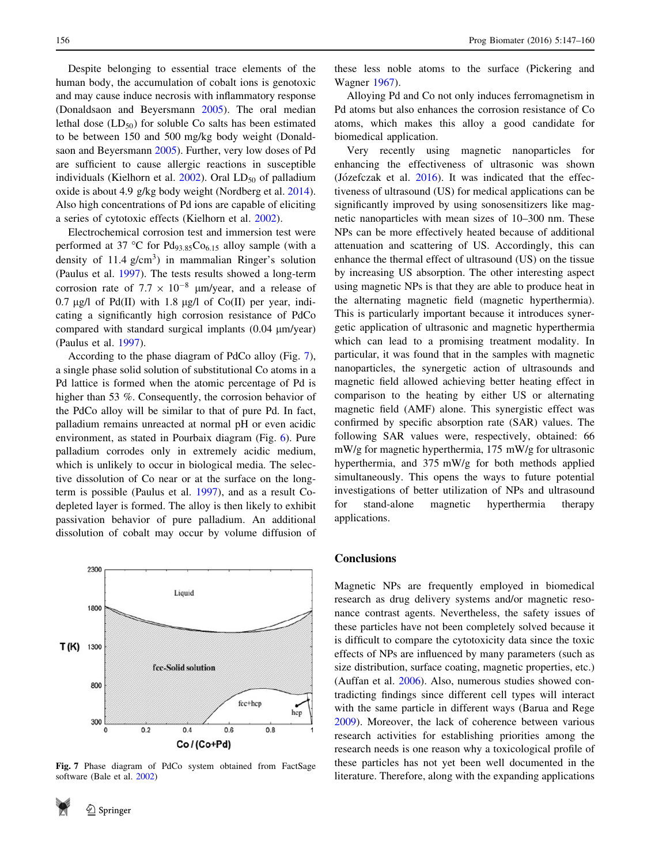Despite belonging to essential trace elements of the human body, the accumulation of cobalt ions is genotoxic and may cause induce necrosis with inflammatory response (Donaldsaon and Beyersmann [2005\)](#page-11-0). The oral median lethal dose  $(LD_{50})$  for soluble Co salts has been estimated to be between 150 and 500 mg/kg body weight (Donaldsaon and Beyersmann [2005\)](#page-11-0). Further, very low doses of Pd are sufficient to cause allergic reactions in susceptible individuals (Kielhorn et al.  $2002$ ). Oral  $LD_{50}$  of palladium oxide is about 4.9 g/kg body weight (Nordberg et al. [2014](#page-13-0)). Also high concentrations of Pd ions are capable of eliciting a series of cytotoxic effects (Kielhorn et al. [2002](#page-12-0)).

Electrochemical corrosion test and immersion test were performed at 37 °C for  $Pd_{93.85}Co_{6.15}$  alloy sample (with a density of  $11.4$  g/cm<sup>3</sup>) in mammalian Ringer's solution (Paulus et al. [1997](#page-13-0)). The tests results showed a long-term corrosion rate of  $7.7 \times 10^{-8}$  µm/year, and a release of 0.7  $\mu$ g/l of Pd(II) with 1.8  $\mu$ g/l of Co(II) per year, indicating a significantly high corrosion resistance of PdCo compared with standard surgical implants  $(0.04 \mu m/year)$ (Paulus et al. [1997\)](#page-13-0).

According to the phase diagram of PdCo alloy (Fig. 7), a single phase solid solution of substitutional Co atoms in a Pd lattice is formed when the atomic percentage of Pd is higher than 53 %. Consequently, the corrosion behavior of the PdCo alloy will be similar to that of pure Pd. In fact, palladium remains unreacted at normal pH or even acidic environment, as stated in Pourbaix diagram (Fig. [6](#page-9-0)). Pure palladium corrodes only in extremely acidic medium, which is unlikely to occur in biological media. The selective dissolution of Co near or at the surface on the longterm is possible (Paulus et al. [1997](#page-13-0)), and as a result Codepleted layer is formed. The alloy is then likely to exhibit passivation behavior of pure palladium. An additional dissolution of cobalt may occur by volume diffusion of



Fig. 7 Phase diagram of PdCo system obtained from FactSage software (Bale et al. [2002](#page-11-0))

these less noble atoms to the surface (Pickering and Wagner [1967](#page-13-0)).

Alloying Pd and Co not only induces ferromagnetism in Pd atoms but also enhances the corrosion resistance of Co atoms, which makes this alloy a good candidate for biomedical application.

Very recently using magnetic nanoparticles for enhancing the effectiveness of ultrasonic was shown (Józefczak et al.  $2016$ ). It was indicated that the effectiveness of ultrasound (US) for medical applications can be significantly improved by using sonosensitizers like magnetic nanoparticles with mean sizes of 10–300 nm. These NPs can be more effectively heated because of additional attenuation and scattering of US. Accordingly, this can enhance the thermal effect of ultrasound (US) on the tissue by increasing US absorption. The other interesting aspect using magnetic NPs is that they are able to produce heat in the alternating magnetic field (magnetic hyperthermia). This is particularly important because it introduces synergetic application of ultrasonic and magnetic hyperthermia which can lead to a promising treatment modality. In particular, it was found that in the samples with magnetic nanoparticles, the synergetic action of ultrasounds and magnetic field allowed achieving better heating effect in comparison to the heating by either US or alternating magnetic field (AMF) alone. This synergistic effect was confirmed by specific absorption rate (SAR) values. The following SAR values were, respectively, obtained: 66 mW/g for magnetic hyperthermia, 175 mW/g for ultrasonic hyperthermia, and 375 mW/g for both methods applied simultaneously. This opens the ways to future potential investigations of better utilization of NPs and ultrasound for stand-alone magnetic hyperthermia therapy applications.

#### **Conclusions**

Magnetic NPs are frequently employed in biomedical research as drug delivery systems and/or magnetic resonance contrast agents. Nevertheless, the safety issues of these particles have not been completely solved because it is difficult to compare the cytotoxicity data since the toxic effects of NPs are influenced by many parameters (such as size distribution, surface coating, magnetic properties, etc.) (Auffan et al. [2006\)](#page-11-0). Also, numerous studies showed contradicting findings since different cell types will interact with the same particle in different ways (Barua and Rege [2009](#page-11-0)). Moreover, the lack of coherence between various research activities for establishing priorities among the research needs is one reason why a toxicological profile of these particles has not yet been well documented in the literature. Therefore, along with the expanding applications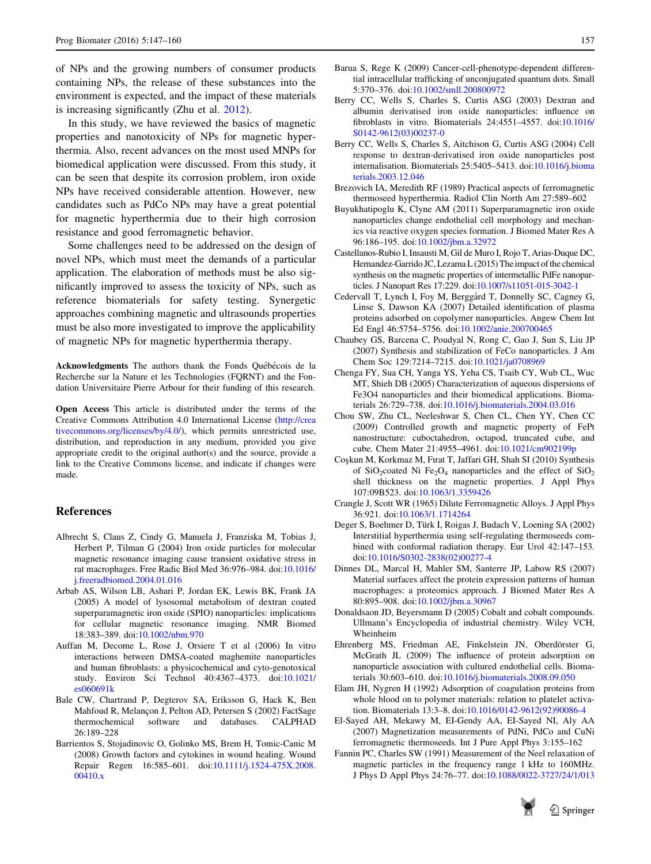<span id="page-11-0"></span>of NPs and the growing numbers of consumer products containing NPs, the release of these substances into the environment is expected, and the impact of these materials is increasing significantly (Zhu et al. [2012\)](#page-14-0).

In this study, we have reviewed the basics of magnetic properties and nanotoxicity of NPs for magnetic hyperthermia. Also, recent advances on the most used MNPs for biomedical application were discussed. From this study, it can be seen that despite its corrosion problem, iron oxide NPs have received considerable attention. However, new candidates such as PdCo NPs may have a great potential for magnetic hyperthermia due to their high corrosion resistance and good ferromagnetic behavior.

Some challenges need to be addressed on the design of novel NPs, which must meet the demands of a particular application. The elaboration of methods must be also significantly improved to assess the toxicity of NPs, such as reference biomaterials for safety testing. Synergetic approaches combining magnetic and ultrasounds properties must be also more investigated to improve the applicability of magnetic NPs for magnetic hyperthermia therapy.

Acknowledgments The authors thank the Fonds Québécois de la Recherche sur la Nature et les Technologies (FQRNT) and the Fondation Universitaire Pierre Arbour for their funding of this research.

Open Access This article is distributed under the terms of the Creative Commons Attribution 4.0 International License ([http://crea](http://creativecommons.org/licenses/by/4.0/) [tivecommons.org/licenses/by/4.0/\)](http://creativecommons.org/licenses/by/4.0/), which permits unrestricted use, distribution, and reproduction in any medium, provided you give appropriate credit to the original author(s) and the source, provide a link to the Creative Commons license, and indicate if changes were made.

## References

- Albrecht S, Claus Z, Cindy G, Manuela J, Franziska M, Tobias J, Herbert P, Tilman G (2004) Iron oxide particles for molecular magnetic resonance imaging cause transient oxidative stress in rat macrophages. Free Radic Biol Med 36:976–984. doi[:10.1016/](http://dx.doi.org/10.1016/j.freeradbiomed.2004.01.016) [j.freeradbiomed.2004.01.016](http://dx.doi.org/10.1016/j.freeradbiomed.2004.01.016)
- Arbab AS, Wilson LB, Ashari P, Jordan EK, Lewis BK, Frank JA (2005) A model of lysosomal metabolism of dextran coated superparamagnetic iron oxide (SPIO) nanoparticles: implications for cellular magnetic resonance imaging. NMR Biomed 18:383–389. doi:[10.1002/nbm.970](http://dx.doi.org/10.1002/nbm.970)
- Auffan M, Decome L, Rose J, Orsiere T et al (2006) In vitro interactions between DMSA-coated maghemite nanoparticles and human fibroblasts: a physicochemical and cyto-genotoxical study. Environ Sci Technol 40:4367–4373. doi[:10.1021/](http://dx.doi.org/10.1021/es060691k) [es060691k](http://dx.doi.org/10.1021/es060691k)
- Bale CW, Chartrand P, Degterov SA, Eriksson G, Hack K, Ben Mahfoud R, Melançon J, Pelton AD, Petersen S (2002) FactSage thermochemical software and databases. CALPHAD 26:189–228
- Barrientos S, Stojadinovic O, Golinko MS, Brem H, Tomic-Canic M (2008) Growth factors and cytokines in wound healing. Wound Repair Regen 16:585–601. doi:[10.1111/j.1524-475X.2008.](http://dx.doi.org/10.1111/j.1524-475X.2008.00410.x) [00410.x](http://dx.doi.org/10.1111/j.1524-475X.2008.00410.x)
- Barua S, Rege K (2009) Cancer-cell-phenotype-dependent differential intracellular trafficking of unconjugated quantum dots. Small 5:370–376. doi:[10.1002/smll.200800972](http://dx.doi.org/10.1002/smll.200800972)
- Berry CC, Wells S, Charles S, Curtis ASG (2003) Dextran and albumin derivatised iron oxide nanoparticles: influence on fibroblasts in vitro. Biomaterials 24:4551–4557. doi[:10.1016/](http://dx.doi.org/10.1016/S0142-9612(03)00237-0) [S0142-9612\(03\)00237-0](http://dx.doi.org/10.1016/S0142-9612(03)00237-0)
- Berry CC, Wells S, Charles S, Aitchison G, Curtis ASG (2004) Cell response to dextran-derivatised iron oxide nanoparticles post internalisation. Biomaterials 25:5405–5413. doi:[10.1016/j.bioma](http://dx.doi.org/10.1016/j.biomaterials.2003.12.046) [terials.2003.12.046](http://dx.doi.org/10.1016/j.biomaterials.2003.12.046)
- Brezovich IA, Meredith RF (1989) Practical aspects of ferromagnetic thermoseed hyperthermia. Radiol Clin North Am 27:589–602
- Buyukhatipoglu K, Clyne AM (2011) Superparamagnetic iron oxide nanoparticles change endothelial cell morphology and mechanics via reactive oxygen species formation. J Biomed Mater Res A 96:186–195. doi:[10.1002/jbm.a.32972](http://dx.doi.org/10.1002/jbm.a.32972)
- Castellanos-Rubio I, Insausti M, Gil de Muro I, Rojo T, Arias-Duque DC, Hernandez-Garrido JC, Lezama L (2015) The impact of the chemical synthesis on the magnetic properties of intermetallic PdFe nanoparticles. J Nanopart Res 17:229. doi[:10.1007/s11051-015-3042-1](http://dx.doi.org/10.1007/s11051-015-3042-1)
- Cedervall T, Lynch I, Foy M, Berggård T, Donnelly SC, Cagney G, Linse S, Dawson KA (2007) Detailed identification of plasma proteins adsorbed on copolymer nanoparticles. Angew Chem Int Ed Engl 46:5754–5756. doi[:10.1002/anie.200700465](http://dx.doi.org/10.1002/anie.200700465)
- Chaubey GS, Barcena C, Poudyal N, Rong C, Gao J, Sun S, Liu JP (2007) Synthesis and stabilization of FeCo nanoparticles. J Am Chem Soc 129:7214–7215. doi[:10.1021/ja0708969](http://dx.doi.org/10.1021/ja0708969)
- Chenga FY, Sua CH, Yanga YS, Yeha CS, Tsaib CY, Wub CL, Wuc MT, Shieh DB (2005) Characterization of aqueous dispersions of Fe3O4 nanoparticles and their biomedical applications. Biomaterials 26:729–738. doi[:10.1016/j.biomaterials.2004.03.016](http://dx.doi.org/10.1016/j.biomaterials.2004.03.016)
- Chou SW, Zhu CL, Neeleshwar S, Chen CL, Chen YY, Chen CC (2009) Controlled growth and magnetic property of FePt nanostructure: cuboctahedron, octapod, truncated cube, and cube. Chem Mater 21:4955–4961. doi:[10.1021/cm902199p](http://dx.doi.org/10.1021/cm902199p)
- Cos¸kun M, Korkmaz M, Fırat T, Jaffari GH, Shah SI (2010) Synthesis of SiO<sub>2</sub>coated Ni Fe<sub>2</sub>O<sub>4</sub> nanoparticles and the effect of SiO<sub>2</sub> shell thickness on the magnetic properties. J Appl Phys 107:09B523. doi[:10.1063/1.3359426](http://dx.doi.org/10.1063/1.3359426)
- Crangle J, Scott WR (1965) Dilute Ferromagnetic Alloys. J Appl Phys 36:921. doi:[10.1063/1.1714264](http://dx.doi.org/10.1063/1.1714264)
- Deger S, Boehmer D, Türk I, Roigas J, Budach V, Loening SA (2002) Interstitial hyperthermia using self-regulating thermoseeds combined with conformal radiation therapy. Eur Urol 42:147–153. doi[:10.1016/S0302-2838\(02\)00277-4](http://dx.doi.org/10.1016/S0302-2838(02)00277-4)
- Dinnes DL, Marcal H, Mahler SM, Santerre JP, Labow RS (2007) Material surfaces affect the protein expression patterns of human macrophages: a proteomics approach. J Biomed Mater Res A 80:895–908. doi:[10.1002/jbm.a.30967](http://dx.doi.org/10.1002/jbm.a.30967)
- Donaldsaon JD, Beyersmann D (2005) Cobalt and cobalt compounds. Ullmann's Encyclopedia of industrial chemistry. Wiley VCH, Wheinheim
- Ehrenberg MS, Friedman AE, Finkelstein JN, Oberdörster G, McGrath JL (2009) The influence of protein adsorption on nanoparticle association with cultured endothelial cells. Biomaterials 30:603–610. doi[:10.1016/j.biomaterials.2008.09.050](http://dx.doi.org/10.1016/j.biomaterials.2008.09.050)
- Elam JH, Nygren H (1992) Adsorption of coagulation proteins from whole blood on to polymer materials: relation to platelet activation. Biomaterials 13:3–8. doi[:10.1016/0142-9612\(92\)90086-4](http://dx.doi.org/10.1016/0142-9612(92)90086-4)
- El-Sayed AH, Mekawy M, EI-Gendy AA, EI-Sayed NI, Aly AA (2007) Magnetization measurements of PdNi, PdCo and CuNi ferromagnetic thermoseeds. Int J Pure Appl Phys 3:155–162
- Fannin PC, Charles SW (1991) Measurement of the Neel relaxation of magnetic particles in the frequency range 1 kHz to 160MHz. J Phys D Appl Phys 24:76–77. doi[:10.1088/0022-3727/24/1/013](http://dx.doi.org/10.1088/0022-3727/24/1/013)

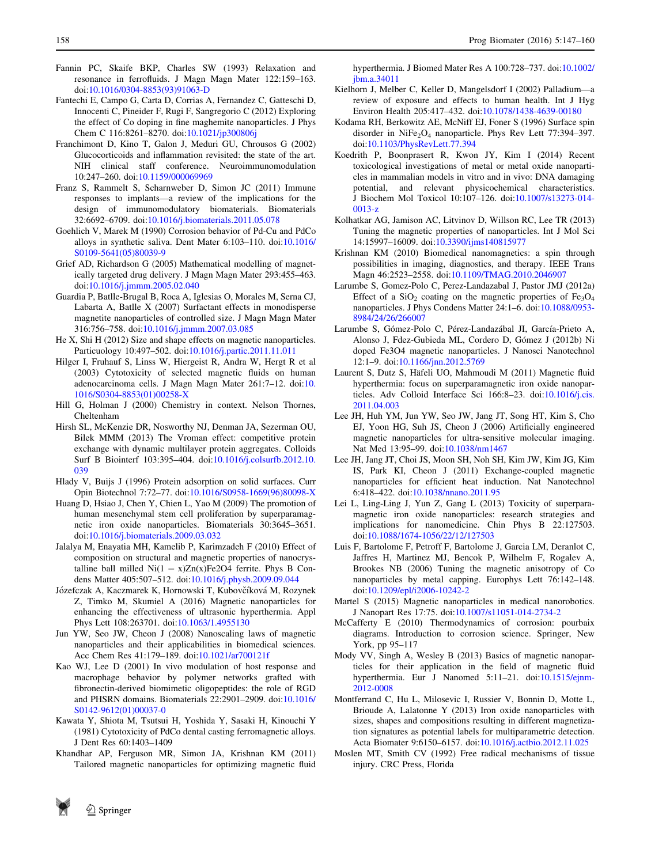- <span id="page-12-0"></span>Fannin PC, Skaife BKP, Charles SW (1993) Relaxation and resonance in ferrofluids. J Magn Magn Mater 122:159–163. doi[:10.1016/0304-8853\(93\)91063-D](http://dx.doi.org/10.1016/0304-8853(93)91063-D)
- Fantechi E, Campo G, Carta D, Corrias A, Fernandez C, Gatteschi D, Innocenti C, Pineider F, Rugi F, Sangregorio C (2012) Exploring the effect of Co doping in fine maghemite nanoparticles. J Phys Chem C 116:8261–8270. doi[:10.1021/jp300806j](http://dx.doi.org/10.1021/jp300806j)
- Franchimont D, Kino T, Galon J, Meduri GU, Chrousos G (2002) Glucocorticoids and inflammation revisited: the state of the art. NIH clinical staff conference. Neuroimmunomodulation 10:247–260. doi:[10.1159/000069969](http://dx.doi.org/10.1159/000069969)
- Franz S, Rammelt S, Scharnweber D, Simon JC (2011) Immune responses to implants—a review of the implications for the design of immunomodulatory biomaterials. Biomaterials 32:6692–6709. doi[:10.1016/j.biomaterials.2011.05.078](http://dx.doi.org/10.1016/j.biomaterials.2011.05.078)
- Goehlich V, Marek M (1990) Corrosion behavior of Pd-Cu and PdCo alloys in synthetic saliva. Dent Mater 6:103–110. doi[:10.1016/](http://dx.doi.org/10.1016/S0109-5641(05)80039-9) [S0109-5641\(05\)80039-9](http://dx.doi.org/10.1016/S0109-5641(05)80039-9)
- Grief AD, Richardson G (2005) Mathematical modelling of magnetically targeted drug delivery. J Magn Magn Mater 293:455–463. doi[:10.1016/j.jmmm.2005.02.040](http://dx.doi.org/10.1016/j.jmmm.2005.02.040)
- Guardia P, Batlle-Brugal B, Roca A, Iglesias O, Morales M, Serna CJ, Labarta A, Batlle X (2007) Surfactant effects in monodisperse magnetite nanoparticles of controlled size. J Magn Magn Mater 316:756–758. doi:[10.1016/j.jmmm.2007.03.085](http://dx.doi.org/10.1016/j.jmmm.2007.03.085)
- He X, Shi H (2012) Size and shape effects on magnetic nanoparticles. Particuology 10:497–502. doi:[10.1016/j.partic.2011.11.011](http://dx.doi.org/10.1016/j.partic.2011.11.011)
- Hilger I, Fruhauf S, Linss W, Hiergeist R, Andra W, Hergt R et al (2003) Cytotoxicity of selected magnetic fluids on human adenocarcinoma cells. J Magn Magn Mater 261:7–12. doi:[10.](http://dx.doi.org/10.1016/S0304-8853(01)00258-X) [1016/S0304-8853\(01\)00258-X](http://dx.doi.org/10.1016/S0304-8853(01)00258-X)
- Hill G, Holman J (2000) Chemistry in context. Nelson Thornes, Cheltenham
- Hirsh SL, McKenzie DR, Nosworthy NJ, Denman JA, Sezerman OU, Bilek MMM (2013) The Vroman effect: competitive protein exchange with dynamic multilayer protein aggregates. Colloids Surf B Biointerf 103:395–404. doi[:10.1016/j.colsurfb.2012.10.](http://dx.doi.org/10.1016/j.colsurfb.2012.10.039) [039](http://dx.doi.org/10.1016/j.colsurfb.2012.10.039)
- Hlady V, Buijs J (1996) Protein adsorption on solid surfaces. Curr Opin Biotechnol 7:72–77. doi:[10.1016/S0958-1669\(96\)80098-X](http://dx.doi.org/10.1016/S0958-1669(96)80098-X)
- Huang D, Hsiao J, Chen Y, Chien L, Yao M (2009) The promotion of human mesenchymal stem cell proliferation by superparamagnetic iron oxide nanoparticles. Biomaterials 30:3645–3651. doi[:10.1016/j.biomaterials.2009.03.032](http://dx.doi.org/10.1016/j.biomaterials.2009.03.032)
- Jalalya M, Enayatia MH, Kamelib P, Karimzadeh F (2010) Effect of composition on structural and magnetic properties of nanocrystalline ball milled  $Ni(1 - x)Zn(x)Fe2O4$  ferrite. Phys B Condens Matter 405:507–512. doi:[10.1016/j.physb.2009.09.044](http://dx.doi.org/10.1016/j.physb.2009.09.044)
- Józefczak A, Kaczmarek K, Hornowski T, Kubovčíková M, Rozynek Z, Timko M, Skumiel A (2016) Magnetic nanoparticles for enhancing the effectiveness of ultrasonic hyperthermia. Appl Phys Lett 108:263701. doi:[10.1063/1.4955130](http://dx.doi.org/10.1063/1.4955130)
- Jun YW, Seo JW, Cheon J (2008) Nanoscaling laws of magnetic nanoparticles and their applicabilities in biomedical sciences. Acc Chem Res 41:179–189. doi:[10.1021/ar700121f](http://dx.doi.org/10.1021/ar700121f)
- Kao WJ, Lee D (2001) In vivo modulation of host response and macrophage behavior by polymer networks grafted with fibronectin-derived biomimetic oligopeptides: the role of RGD and PHSRN domains. Biomaterials 22:2901–2909. doi[:10.1016/](http://dx.doi.org/10.1016/S0142-9612(01)00037-0) [S0142-9612\(01\)00037-0](http://dx.doi.org/10.1016/S0142-9612(01)00037-0)
- Kawata Y, Shiota M, Tsutsui H, Yoshida Y, Sasaki H, Kinouchi Y (1981) Cytotoxicity of PdCo dental casting ferromagnetic alloys. J Dent Res 60:1403–1409
- Khandhar AP, Ferguson MR, Simon JA, Krishnan KM (2011) Tailored magnetic nanoparticles for optimizing magnetic fluid

hyperthermia. J Biomed Mater Res A 100:728–737. doi[:10.1002/](http://dx.doi.org/10.1002/jbm.a.34011) [jbm.a.34011](http://dx.doi.org/10.1002/jbm.a.34011)

- Kielhorn J, Melber C, Keller D, Mangelsdorf I (2002) Palladium—a review of exposure and effects to human health. Int J Hyg Environ Health 205:417–432. doi:[10.1078/1438-4639-00180](http://dx.doi.org/10.1078/1438-4639-00180)
- Kodama RH, Berkowitz AE, McNiff EJ, Foner S (1996) Surface spin disorder in  $NiFe<sub>2</sub>O<sub>4</sub>$  nanoparticle. Phys Rev Lett 77:394-397. doi[:10.1103/PhysRevLett.77.394](http://dx.doi.org/10.1103/PhysRevLett.77.394)
- Koedrith P, Boonprasert R, Kwon JY, Kim I (2014) Recent toxicological investigations of metal or metal oxide nanoparticles in mammalian models in vitro and in vivo: DNA damaging potential, and relevant physicochemical characteristics. J Biochem Mol Toxicol 10:107–126. doi:[10.1007/s13273-014-](http://dx.doi.org/10.1007/s13273-014-0013-z) [0013-z](http://dx.doi.org/10.1007/s13273-014-0013-z)
- Kolhatkar AG, Jamison AC, Litvinov D, Willson RC, Lee TR (2013) Tuning the magnetic properties of nanoparticles. Int J Mol Sci 14:15997–16009. doi:[10.3390/ijms140815977](http://dx.doi.org/10.3390/ijms140815977)
- Krishnan KM (2010) Biomedical nanomagnetics: a spin through possibilities in imaging, diagnostics, and therapy. IEEE Trans Magn 46:2523–2558. doi:[10.1109/TMAG.2010.2046907](http://dx.doi.org/10.1109/TMAG.2010.2046907)
- Larumbe S, Gomez-Polo C, Perez-Landazabal J, Pastor JMJ (2012a) Effect of a SiO<sub>2</sub> coating on the magnetic properties of Fe<sub>3</sub>O<sub>4</sub> nanoparticles. J Phys Condens Matter 24:1–6. doi:[10.1088/0953-](http://dx.doi.org/10.1088/0953-8984/24/26/266007) [8984/24/26/266007](http://dx.doi.org/10.1088/0953-8984/24/26/266007)
- Larumbe S, Gómez-Polo C, Pérez-Landazábal JI, García-Prieto A, Alonso J, Fdez-Gubieda ML, Cordero D, Gómez J (2012b) Ni doped Fe3O4 magnetic nanoparticles. J Nanosci Nanotechnol 12:1–9. doi:[10.1166/jnn.2012.5769](http://dx.doi.org/10.1166/jnn.2012.5769)
- Laurent S, Dutz S, Häfeli UO, Mahmoudi M (2011) Magnetic fluid hyperthermia: focus on superparamagnetic iron oxide nanoparticles. Adv Colloid Interface Sci 166:8–23. doi[:10.1016/j.cis.](http://dx.doi.org/10.1016/j.cis.2011.04.003) [2011.04.003](http://dx.doi.org/10.1016/j.cis.2011.04.003)
- Lee JH, Huh YM, Jun YW, Seo JW, Jang JT, Song HT, Kim S, Cho EJ, Yoon HG, Suh JS, Cheon J (2006) Artificially engineered magnetic nanoparticles for ultra-sensitive molecular imaging. Nat Med 13:95–99. doi:[10.1038/nm1467](http://dx.doi.org/10.1038/nm1467)
- Lee JH, Jang JT, Choi JS, Moon SH, Noh SH, Kim JW, Kim JG, Kim IS, Park KI, Cheon J (2011) Exchange-coupled magnetic nanoparticles for efficient heat induction. Nat Nanotechnol 6:418–422. doi:[10.1038/nnano.2011.95](http://dx.doi.org/10.1038/nnano.2011.95)
- Lei L, Ling-Ling J, Yun Z, Gang L (2013) Toxicity of superparamagnetic iron oxide nanoparticles: research strategies and implications for nanomedicine. Chin Phys B 22:127503. doi[:10.1088/1674-1056/22/12/127503](http://dx.doi.org/10.1088/1674-1056/22/12/127503)
- Luis F, Bartolome F, Petroff F, Bartolome J, Garcia LM, Deranlot C, Jaffres H, Martinez MJ, Bencok P, Wilhelm F, Rogalev A, Brookes NB (2006) Tuning the magnetic anisotropy of Co nanoparticles by metal capping. Europhys Lett 76:142–148. doi[:10.1209/epl/i2006-10242-2](http://dx.doi.org/10.1209/epl/i2006-10242-2)
- Martel S (2015) Magnetic nanoparticles in medical nanorobotics. J Nanopart Res 17:75. doi:[10.1007/s11051-014-2734-2](http://dx.doi.org/10.1007/s11051-014-2734-2)
- McCafferty E (2010) Thermodynamics of corrosion: pourbaix diagrams. Introduction to corrosion science. Springer, New York, pp 95–117
- Mody VV, Singh A, Wesley B (2013) Basics of magnetic nanoparticles for their application in the field of magnetic fluid hyperthermia. Eur J Nanomed 5:11–21. doi[:10.1515/ejnm-](http://dx.doi.org/10.1515/ejnm-2012-0008)[2012-0008](http://dx.doi.org/10.1515/ejnm-2012-0008)
- Montferrand C, Hu L, Milosevic I, Russier V, Bonnin D, Motte L, Brioude A, Lalatonne Y (2013) Iron oxide nanoparticles with sizes, shapes and compositions resulting in different magnetization signatures as potential labels for multiparametric detection. Acta Biomater 9:6150–6157. doi[:10.1016/j.actbio.2012.11.025](http://dx.doi.org/10.1016/j.actbio.2012.11.025)
- Moslen MT, Smith CV (1992) Free radical mechanisms of tissue injury. CRC Press, Florida

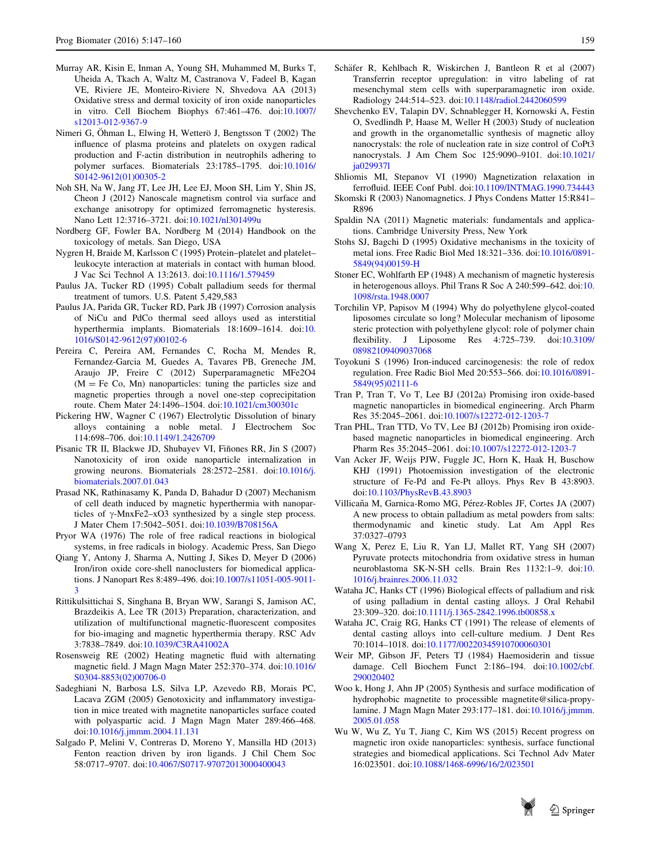- <span id="page-13-0"></span>Murray AR, Kisin E, Inman A, Young SH, Muhammed M, Burks T, Uheida A, Tkach A, Waltz M, Castranova V, Fadeel B, Kagan VE, Riviere JE, Monteiro-Riviere N, Shvedova AA (2013) Oxidative stress and dermal toxicity of iron oxide nanoparticles in vitro. Cell Biochem Biophys 67:461–476. doi[:10.1007/](http://dx.doi.org/10.1007/s12013-012-9367-9) [s12013-012-9367-9](http://dx.doi.org/10.1007/s12013-012-9367-9)
- Nimeri G, Öhman L, Elwing H, Wetterö J, Bengtsson T (2002) The influence of plasma proteins and platelets on oxygen radical production and F-actin distribution in neutrophils adhering to polymer surfaces. Biomaterials 23:1785–1795. doi[:10.1016/](http://dx.doi.org/10.1016/S0142-9612(01)00305-2) [S0142-9612\(01\)00305-2](http://dx.doi.org/10.1016/S0142-9612(01)00305-2)
- Noh SH, Na W, Jang JT, Lee JH, Lee EJ, Moon SH, Lim Y, Shin JS, Cheon J (2012) Nanoscale magnetism control via surface and exchange anisotropy for optimized ferromagnetic hysteresis. Nano Lett 12:3716–3721. doi:[10.1021/nl301499u](http://dx.doi.org/10.1021/nl301499u)
- Nordberg GF, Fowler BA, Nordberg M (2014) Handbook on the toxicology of metals. San Diego, USA
- Nygren H, Braide M, Karlsson C (1995) Protein–platelet and platelet– leukocyte interaction at materials in contact with human blood. J Vac Sci Technol A 13:2613. doi:[10.1116/1.579459](http://dx.doi.org/10.1116/1.579459)
- Paulus JA, Tucker RD (1995) Cobalt palladium seeds for thermal treatment of tumors. U.S. Patent 5,429,583
- Paulus JA, Parida GR, Tucker RD, Park JB (1997) Corrosion analysis of NiCu and PdCo thermal seed alloys used as interstitial hyperthermia implants. Biomaterials 18:1609–1614. doi:[10.](http://dx.doi.org/10.1016/S0142-9612(97)00102-6) [1016/S0142-9612\(97\)00102-6](http://dx.doi.org/10.1016/S0142-9612(97)00102-6)
- Pereira C, Pereira AM, Fernandes C, Rocha M, Mendes R, Fernandez-Garcia M, Guedes A, Tavares PB, Greneche JM, Araujo JP, Freire C (2012) Superparamagnetic MFe2O4  $(M = Fe Co, Mn)$  nanoparticles: tuning the particles size and magnetic properties through a novel one-step coprecipitation route. Chem Mater 24:1496–1504. doi:[10.1021/cm300301c](http://dx.doi.org/10.1021/cm300301c)
- Pickering HW, Wagner C (1967) Electrolytic Dissolution of binary alloys containing a noble metal. J Electrochem Soc 114:698–706. doi:[10.1149/1.2426709](http://dx.doi.org/10.1149/1.2426709)
- Pisanic TR II, Blackwe JD, Shubayev VI, Fiñones RR, Jin S (2007) Nanotoxicity of iron oxide nanoparticle internalization in growing neurons. Biomaterials 28:2572–2581. doi:[10.1016/j.](http://dx.doi.org/10.1016/j.biomaterials.2007.01.043) [biomaterials.2007.01.043](http://dx.doi.org/10.1016/j.biomaterials.2007.01.043)
- Prasad NK, Rathinasamy K, Panda D, Bahadur D (2007) Mechanism of cell death induced by magnetic hyperthermia with nanoparticles of  $\gamma$ -MnxFe2–xO3 synthesized by a single step process. J Mater Chem 17:5042–5051. doi[:10.1039/B708156A](http://dx.doi.org/10.1039/B708156A)
- Pryor WA (1976) The role of free radical reactions in biological systems, in free radicals in biology. Academic Press, San Diego
- Qiang Y, Antony J, Sharma A, Nutting J, Sikes D, Meyer D (2006) Iron/iron oxide core-shell nanoclusters for biomedical applications. J Nanopart Res 8:489–496. doi:[10.1007/s11051-005-9011-](http://dx.doi.org/10.1007/s11051-005-9011-3) [3](http://dx.doi.org/10.1007/s11051-005-9011-3)
- Rittikulsittichai S, Singhana B, Bryan WW, Sarangi S, Jamison AC, Brazdeikis A, Lee TR (2013) Preparation, characterization, and utilization of multifunctional magnetic-fluorescent composites for bio-imaging and magnetic hyperthermia therapy. RSC Adv 3:7838–7849. doi:[10.1039/C3RA41002A](http://dx.doi.org/10.1039/C3RA41002A)
- Rosensweig RE (2002) Heating magnetic fluid with alternating magnetic field. J Magn Magn Mater 252:370–374. doi[:10.1016/](http://dx.doi.org/10.1016/S0304-8853(02)00706-0) [S0304-8853\(02\)00706-0](http://dx.doi.org/10.1016/S0304-8853(02)00706-0)
- Sadeghiani N, Barbosa LS, Silva LP, Azevedo RB, Morais PC, Lacava ZGM (2005) Genotoxicity and inflammatory investigation in mice treated with magnetite nanoparticles surface coated with polyaspartic acid. J Magn Magn Mater 289:466–468. doi[:10.1016/j.jmmm.2004.11.131](http://dx.doi.org/10.1016/j.jmmm.2004.11.131)
- Salgado P, Melini V, Contreras D, Moreno Y, Mansilla HD (2013) Fenton reaction driven by iron ligands. J Chil Chem Soc 58:0717–9707. doi[:10.4067/S0717-97072013000400043](http://dx.doi.org/10.4067/S0717-97072013000400043)
- Schäfer R, Kehlbach R, Wiskirchen J, Bantleon R et al (2007) Transferrin receptor upregulation: in vitro labeling of rat mesenchymal stem cells with superparamagnetic iron oxide. Radiology 244:514–523. doi[:10.1148/radiol.2442060599](http://dx.doi.org/10.1148/radiol.2442060599)
- Shevchenko EV, Talapin DV, Schnablegger H, Kornowski A, Festin O, Svedlindh P, Haase M, Weller H (2003) Study of nucleation and growth in the organometallic synthesis of magnetic alloy nanocrystals: the role of nucleation rate in size control of CoPt3 nanocrystals. J Am Chem Soc 125:9090–9101. doi[:10.1021/](http://dx.doi.org/10.1021/ja029937l) [ja029937l](http://dx.doi.org/10.1021/ja029937l)
- Shliomis MI, Stepanov VI (1990) Magnetization relaxation in ferrofluid. IEEE Conf Publ. doi:[10.1109/INTMAG.1990.734443](http://dx.doi.org/10.1109/INTMAG.1990.734443)
- Skomski R (2003) Nanomagnetics. J Phys Condens Matter 15:R841– R896
- Spaldin NA (2011) Magnetic materials: fundamentals and applications. Cambridge University Press, New York
- Stohs SJ, Bagchi D (1995) Oxidative mechanisms in the toxicity of metal ions. Free Radic Biol Med 18:321–336. doi:[10.1016/0891-](http://dx.doi.org/10.1016/0891-5849(94)00159-H) [5849\(94\)00159-H](http://dx.doi.org/10.1016/0891-5849(94)00159-H)
- Stoner EC, Wohlfarth EP (1948) A mechanism of magnetic hysteresis in heterogenous alloys. Phil Trans R Soc A 240:599–642. doi:[10.](http://dx.doi.org/10.1098/rsta.1948.0007) [1098/rsta.1948.0007](http://dx.doi.org/10.1098/rsta.1948.0007)
- Torchilin VP, Papisov M (1994) Why do polyethylene glycol-coated liposomes circulate so long? Molecular mechanism of liposome steric protection with polyethylene glycol: role of polymer chain flexibility. J Liposome Res 4:725–739. doi[:10.3109/](http://dx.doi.org/10.3109/08982109409037068) [08982109409037068](http://dx.doi.org/10.3109/08982109409037068)
- Toyokuni S (1996) Iron-induced carcinogenesis: the role of redox regulation. Free Radic Biol Med 20:553–566. doi:[10.1016/0891-](http://dx.doi.org/10.1016/0891-5849(95)02111-6) [5849\(95\)02111-6](http://dx.doi.org/10.1016/0891-5849(95)02111-6)
- Tran P, Tran T, Vo T, Lee BJ (2012a) Promising iron oxide-based magnetic nanoparticles in biomedical engineering. Arch Pharm Res 35:2045–2061. doi:[10.1007/s12272-012-1203-7](http://dx.doi.org/10.1007/s12272-012-1203-7)
- Tran PHL, Tran TTD, Vo TV, Lee BJ (2012b) Promising iron oxidebased magnetic nanoparticles in biomedical engineering. Arch Pharm Res 35:2045–2061. doi:[10.1007/s12272-012-1203-7](http://dx.doi.org/10.1007/s12272-012-1203-7)
- Van Acker JF, Weijs PJW, Fuggle JC, Horn K, Haak H, Buschow KHJ (1991) Photoemission investigation of the electronic structure of Fe-Pd and Fe-Pt alloys. Phys Rev B 43:8903. doi[:10.1103/PhysRevB.43.8903](http://dx.doi.org/10.1103/PhysRevB.43.8903)
- Villicaña M, Garnica-Romo MG, Pérez-Robles JF, Cortes JA (2007) A new process to obtain palladium as metal powders from salts: thermodynamic and kinetic study. Lat Am Appl Res 37:0327–0793
- Wang X, Perez E, Liu R, Yan LJ, Mallet RT, Yang SH (2007) Pyruvate protects mitochondria from oxidative stress in human neuroblastoma SK-N-SH cells. Brain Res 1132:1–9. doi:[10.](http://dx.doi.org/10.1016/j.brainres.2006.11.032) [1016/j.brainres.2006.11.032](http://dx.doi.org/10.1016/j.brainres.2006.11.032)
- Wataha JC, Hanks CT (1996) Biological effects of palladium and risk of using palladium in dental casting alloys. J Oral Rehabil 23:309–320. doi:[10.1111/j.1365-2842.1996.tb00858.x](http://dx.doi.org/10.1111/j.1365-2842.1996.tb00858.x)
- Wataha JC, Craig RG, Hanks CT (1991) The release of elements of dental casting alloys into cell-culture medium. J Dent Res 70:1014–1018. doi[:10.1177/00220345910700060301](http://dx.doi.org/10.1177/00220345910700060301)
- Weir MP, Gibson JF, Peters TJ (1984) Haemosiderin and tissue damage. Cell Biochem Funct 2:186–194. doi[:10.1002/cbf.](http://dx.doi.org/10.1002/cbf.290020402) [290020402](http://dx.doi.org/10.1002/cbf.290020402)
- Woo k, Hong J, Ahn JP (2005) Synthesis and surface modification of hydrophobic magnetite to processible magnetite@silica-propylamine. J Magn Magn Mater 293:177–181. doi:[10.1016/j.jmmm.](http://dx.doi.org/10.1016/j.jmmm.2005.01.058) [2005.01.058](http://dx.doi.org/10.1016/j.jmmm.2005.01.058)
- Wu W, Wu Z, Yu T, Jiang C, Kim WS (2015) Recent progress on magnetic iron oxide nanoparticles: synthesis, surface functional strategies and biomedical applications. Sci Technol Adv Mater 16:023501. doi:[10.1088/1468-6996/16/2/023501](http://dx.doi.org/10.1088/1468-6996/16/2/023501)